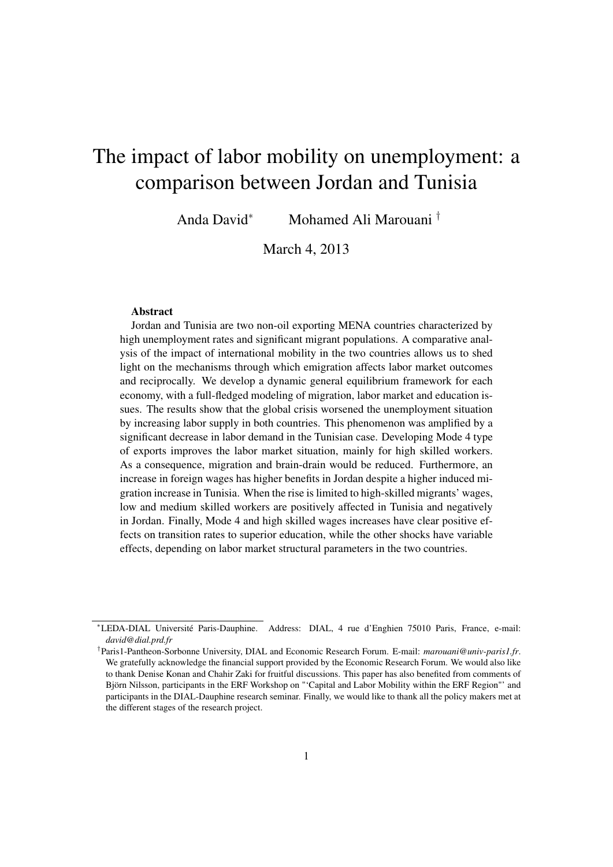# The impact of labor mobility on unemployment: a comparison between Jordan and Tunisia

Anda David<sup>∗</sup> Mohamed Ali Marouani †

March 4, 2013

#### Abstract

Jordan and Tunisia are two non-oil exporting MENA countries characterized by high unemployment rates and significant migrant populations. A comparative analysis of the impact of international mobility in the two countries allows us to shed light on the mechanisms through which emigration affects labor market outcomes and reciprocally. We develop a dynamic general equilibrium framework for each economy, with a full-fledged modeling of migration, labor market and education issues. The results show that the global crisis worsened the unemployment situation by increasing labor supply in both countries. This phenomenon was amplified by a significant decrease in labor demand in the Tunisian case. Developing Mode 4 type of exports improves the labor market situation, mainly for high skilled workers. As a consequence, migration and brain-drain would be reduced. Furthermore, an increase in foreign wages has higher benefits in Jordan despite a higher induced migration increase in Tunisia. When the rise is limited to high-skilled migrants' wages, low and medium skilled workers are positively affected in Tunisia and negatively in Jordan. Finally, Mode 4 and high skilled wages increases have clear positive effects on transition rates to superior education, while the other shocks have variable effects, depending on labor market structural parameters in the two countries.

<sup>∗</sup>LEDA-DIAL Université Paris-Dauphine. Address: DIAL, 4 rue d'Enghien 75010 Paris, France, e-mail: *david@dial.prd.fr*

<sup>†</sup> Paris1-Pantheon-Sorbonne University, DIAL and Economic Research Forum. E-mail: *marouani@univ-paris1.fr*. We gratefully acknowledge the financial support provided by the Economic Research Forum. We would also like to thank Denise Konan and Chahir Zaki for fruitful discussions. This paper has also benefited from comments of Björn Nilsson, participants in the ERF Workshop on "'Capital and Labor Mobility within the ERF Region"' and participants in the DIAL-Dauphine research seminar. Finally, we would like to thank all the policy makers met at the different stages of the research project.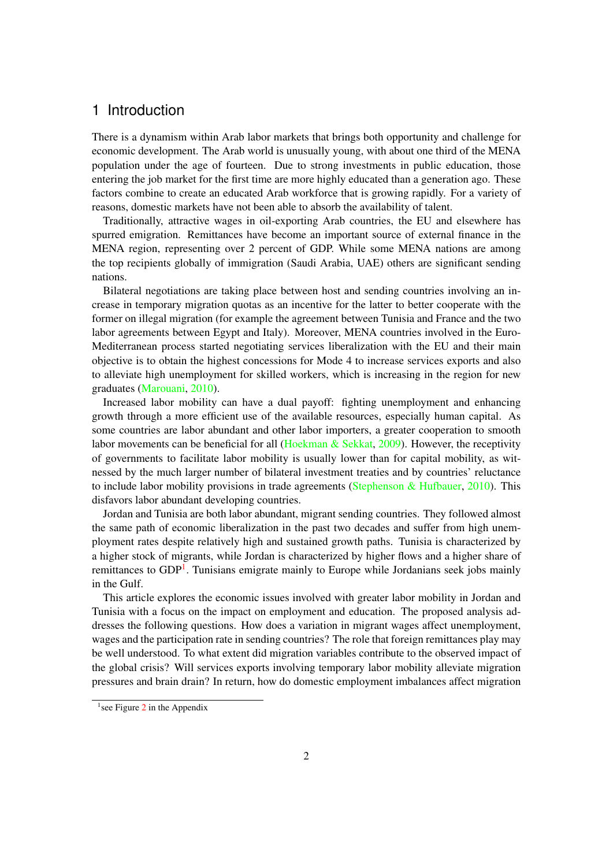### 1 Introduction

There is a dynamism within Arab labor markets that brings both opportunity and challenge for economic development. The Arab world is unusually young, with about one third of the MENA population under the age of fourteen. Due to strong investments in public education, those entering the job market for the first time are more highly educated than a generation ago. These factors combine to create an educated Arab workforce that is growing rapidly. For a variety of reasons, domestic markets have not been able to absorb the availability of talent.

Traditionally, attractive wages in oil-exporting Arab countries, the EU and elsewhere has spurred emigration. Remittances have become an important source of external finance in the MENA region, representing over 2 percent of GDP. While some MENA nations are among the top recipients globally of immigration (Saudi Arabia, UAE) others are significant sending nations.

Bilateral negotiations are taking place between host and sending countries involving an increase in temporary migration quotas as an incentive for the latter to better cooperate with the former on illegal migration (for example the agreement between Tunisia and France and the two labor agreements between Egypt and Italy). Moreover, MENA countries involved in the Euro-Mediterranean process started negotiating services liberalization with the EU and their main objective is to obtain the highest concessions for Mode 4 to increase services exports and also to alleviate high unemployment for skilled workers, which is increasing in the region for new graduates [\(Marouani,](#page-23-0) [2010\)](#page-23-0).

Increased labor mobility can have a dual payoff: fighting unemployment and enhancing growth through a more efficient use of the available resources, especially human capital. As some countries are labor abundant and other labor importers, a greater cooperation to smooth labor movements can be beneficial for all [\(Hoekman & Sekkat,](#page-23-1) [2009\)](#page-23-1). However, the receptivity of governments to facilitate labor mobility is usually lower than for capital mobility, as witnessed by the much larger number of bilateral investment treaties and by countries' reluctance to include labor mobility provisions in trade agreements [\(Stephenson & Hufbauer,](#page-24-0) [2010\)](#page-24-0). This disfavors labor abundant developing countries.

Jordan and Tunisia are both labor abundant, migrant sending countries. They followed almost the same path of economic liberalization in the past two decades and suffer from high unemployment rates despite relatively high and sustained growth paths. Tunisia is characterized by a higher stock of migrants, while Jordan is characterized by higher flows and a higher share of remittances to GDP<sup>[1](#page-1-0)</sup>. Tunisians emigrate mainly to Europe while Jordanians seek jobs mainly in the Gulf.

This article explores the economic issues involved with greater labor mobility in Jordan and Tunisia with a focus on the impact on employment and education. The proposed analysis addresses the following questions. How does a variation in migrant wages affect unemployment, wages and the participation rate in sending countries? The role that foreign remittances play may be well understood. To what extent did migration variables contribute to the observed impact of the global crisis? Will services exports involving temporary labor mobility alleviate migration pressures and brain drain? In return, how do domestic employment imbalances affect migration

<span id="page-1-0"></span> $<sup>1</sup>$  see Figure [2](#page-25-0) in the Appendix</sup>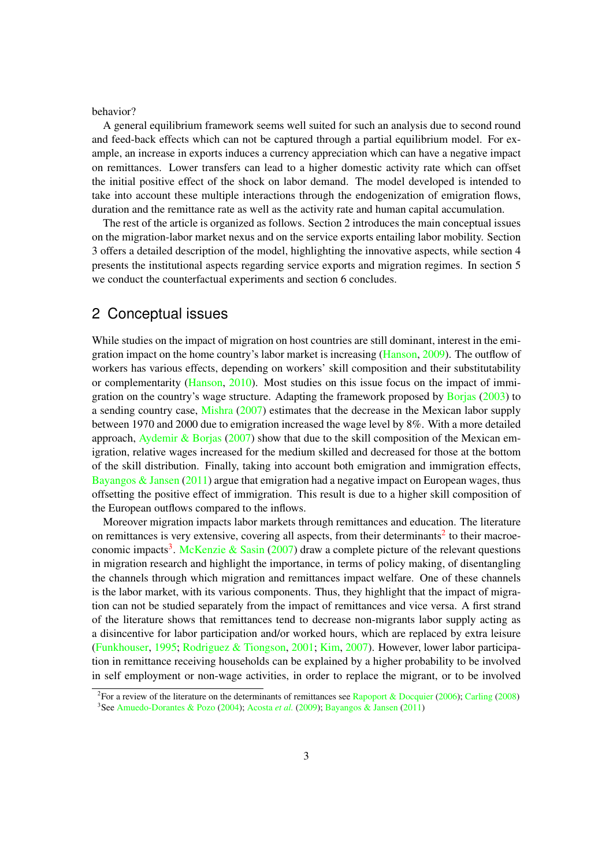behavior?

A general equilibrium framework seems well suited for such an analysis due to second round and feed-back effects which can not be captured through a partial equilibrium model. For example, an increase in exports induces a currency appreciation which can have a negative impact on remittances. Lower transfers can lead to a higher domestic activity rate which can offset the initial positive effect of the shock on labor demand. The model developed is intended to take into account these multiple interactions through the endogenization of emigration flows, duration and the remittance rate as well as the activity rate and human capital accumulation.

The rest of the article is organized as follows. Section 2 introduces the main conceptual issues on the migration-labor market nexus and on the service exports entailing labor mobility. Section 3 offers a detailed description of the model, highlighting the innovative aspects, while section 4 presents the institutional aspects regarding service exports and migration regimes. In section 5 we conduct the counterfactual experiments and section 6 concludes.

### 2 Conceptual issues

While studies on the impact of migration on host countries are still dominant, interest in the emigration impact on the home country's labor market is increasing [\(Hanson,](#page-23-2) [2009\)](#page-23-2). The outflow of workers has various effects, depending on workers' skill composition and their substitutability or complementarity [\(Hanson,](#page-23-3) [2010\)](#page-23-3). Most studies on this issue focus on the impact of immigration on the country's wage structure. Adapting the framework proposed by [Borjas](#page-21-0) [\(2003\)](#page-21-0) to a sending country case, [Mishra](#page-24-1) [\(2007\)](#page-24-1) estimates that the decrease in the Mexican labor supply between 1970 and 2000 due to emigration increased the wage level by 8%. With a more detailed approach, [Aydemir & Borjas](#page-21-1) [\(2007\)](#page-21-1) show that due to the skill composition of the Mexican emigration, relative wages increased for the medium skilled and decreased for those at the bottom of the skill distribution. Finally, taking into account both emigration and immigration effects, Bayangos  $\&$  Jansen [\(2011\)](#page-21-2) argue that emigration had a negative impact on European wages, thus offsetting the positive effect of immigration. This result is due to a higher skill composition of the European outflows compared to the inflows.

Moreover migration impacts labor markets through remittances and education. The literature on remittances is very extensive, covering all aspects, from their determinants<sup>[2](#page-2-0)</sup> to their macroe-conomic impacts<sup>[3](#page-2-1)</sup>. [McKenzie & Sasin](#page-24-2) [\(2007\)](#page-24-2) draw a complete picture of the relevant questions in migration research and highlight the importance, in terms of policy making, of disentangling the channels through which migration and remittances impact welfare. One of these channels is the labor market, with its various components. Thus, they highlight that the impact of migration can not be studied separately from the impact of remittances and vice versa. A first strand of the literature shows that remittances tend to decrease non-migrants labor supply acting as a disincentive for labor participation and/or worked hours, which are replaced by extra leisure [\(Funkhouser,](#page-23-4) [1995;](#page-23-4) [Rodriguez & Tiongson,](#page-24-3) [2001;](#page-24-3) [Kim,](#page-23-5) [2007\)](#page-23-5). However, lower labor participation in remittance receiving households can be explained by a higher probability to be involved in self employment or non-wage activities, in order to replace the migrant, or to be involved

<span id="page-2-1"></span><span id="page-2-0"></span><sup>&</sup>lt;sup>2</sup> For a review of the literature on the determinants of remittances see [Rapoport & Docquier](#page-24-4) [\(2006\)](#page-24-4); [Carling](#page-22-0) [\(2008\)](#page-22-0) 3 See [Amuedo-Dorantes & Pozo](#page-21-3) [\(2004\)](#page-21-3); [Acosta](#page-21-4) *et al.* [\(2009\)](#page-21-4); [Bayangos & Jansen](#page-21-2) [\(2011\)](#page-21-2)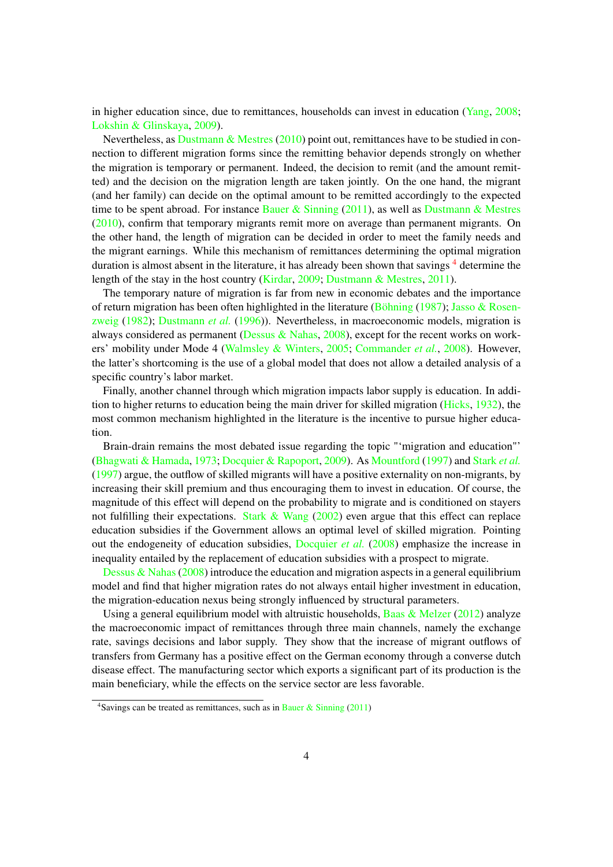in higher education since, due to remittances, households can invest in education [\(Yang,](#page-24-5) [2008;](#page-24-5) [Lokshin & Glinskaya,](#page-23-6) [2009\)](#page-23-6).

Nevertheless, as [Dustmann & Mestres](#page-22-1)  $(2010)$  point out, remittances have to be studied in connection to different migration forms since the remitting behavior depends strongly on whether the migration is temporary or permanent. Indeed, the decision to remit (and the amount remitted) and the decision on the migration length are taken jointly. On the one hand, the migrant (and her family) can decide on the optimal amount to be remitted accordingly to the expected time to be spent abroad. For instance Bauer  $\&$  Sinning [\(2011\)](#page-21-5), as well as Dustmann  $\&$  Mestres [\(2010\)](#page-22-1), confirm that temporary migrants remit more on average than permanent migrants. On the other hand, the length of migration can be decided in order to meet the family needs and the migrant earnings. While this mechanism of remittances determining the optimal migration duration is almost absent in the literature, it has already been shown that savings<sup>[4](#page-3-0)</sup> determine the length of the stay in the host country [\(Kirdar,](#page-23-7) [2009;](#page-23-7) [Dustmann & Mestres,](#page-22-2) [2011\)](#page-22-2).

The temporary nature of migration is far from new in economic debates and the importance of return migration has been often highlighted in the literature [\(Böhning](#page-21-6) [\(1987\)](#page-21-6); [Jasso & Rosen](#page-23-8)[zweig](#page-23-8) [\(1982\)](#page-23-8); [Dustmann](#page-22-3) *et al.* [\(1996\)](#page-22-3)). Nevertheless, in macroeconomic models, migration is always considered as permanent [\(Dessus & Nahas,](#page-22-4) [2008\)](#page-22-4), except for the recent works on workers' mobility under Mode 4 [\(Walmsley & Winters,](#page-24-6) [2005;](#page-24-6) [Commander](#page-22-5) *et al.*, [2008\)](#page-22-5). However, the latter's shortcoming is the use of a global model that does not allow a detailed analysis of a specific country's labor market.

Finally, another channel through which migration impacts labor supply is education. In addition to higher returns to education being the main driver for skilled migration [\(Hicks,](#page-23-9) [1932\)](#page-23-9), the most common mechanism highlighted in the literature is the incentive to pursue higher education.

Brain-drain remains the most debated issue regarding the topic "'migration and education"' [\(Bhagwati & Hamada,](#page-21-7) [1973;](#page-21-7) [Docquier & Rapoport,](#page-22-6) [2009\)](#page-22-6). As [Mountford](#page-24-7) [\(1997\)](#page-24-7) and [Stark](#page-24-8) *et al.* [\(1997\)](#page-24-8) argue, the outflow of skilled migrants will have a positive externality on non-migrants, by increasing their skill premium and thus encouraging them to invest in education. Of course, the magnitude of this effect will depend on the probability to migrate and is conditioned on stayers not fulfilling their expectations. [Stark & Wang](#page-24-9)  $(2002)$  even argue that this effect can replace education subsidies if the Government allows an optimal level of skilled migration. Pointing out the endogeneity of education subsidies, [Docquier](#page-22-7) *et al.* [\(2008\)](#page-22-7) emphasize the increase in inequality entailed by the replacement of education subsidies with a prospect to migrate.

Dessus & Nahas  $(2008)$  introduce the education and migration aspects in a general equilibrium model and find that higher migration rates do not always entail higher investment in education, the migration-education nexus being strongly influenced by structural parameters.

Using a general equilibrium model with altruistic households, Baas  $\&$  Melzer [\(2012\)](#page-21-8) analyze the macroeconomic impact of remittances through three main channels, namely the exchange rate, savings decisions and labor supply. They show that the increase of migrant outflows of transfers from Germany has a positive effect on the German economy through a converse dutch disease effect. The manufacturing sector which exports a significant part of its production is the main beneficiary, while the effects on the service sector are less favorable.

<span id="page-3-0"></span><sup>&</sup>lt;sup>4</sup>Savings can be treated as remittances, such as in [Bauer & Sinning](#page-21-5) [\(2011\)](#page-21-5)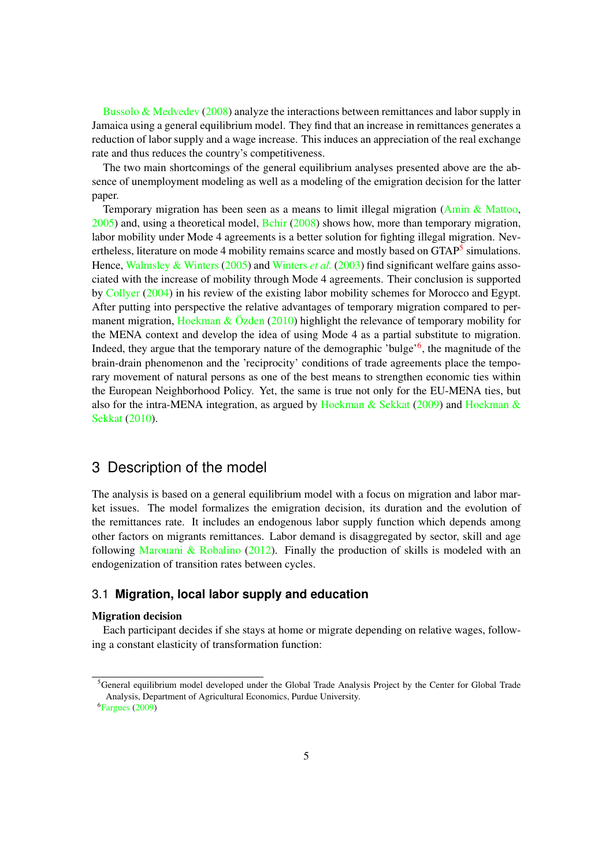Bussolo  $\&$  Medvedev [\(2008\)](#page-21-9) analyze the interactions between remittances and labor supply in Jamaica using a general equilibrium model. They find that an increase in remittances generates a reduction of labor supply and a wage increase. This induces an appreciation of the real exchange rate and thus reduces the country's competitiveness.

The two main shortcomings of the general equilibrium analyses presented above are the absence of unemployment modeling as well as a modeling of the emigration decision for the latter paper.

Temporary migration has been seen as a means to limit illegal migration [\(Amin & Mattoo,](#page-21-10) [2005\)](#page-21-10) and, using a theoretical model, [Bchir](#page-21-11) [\(2008\)](#page-21-11) shows how, more than temporary migration, labor mobility under Mode 4 agreements is a better solution for fighting illegal migration. Nev-ertheless, literature on mode 4 mobility remains scarce and mostly based on GTAP<sup>[5](#page-4-0)</sup> simulations. Hence, [Walmsley & Winters](#page-24-6) [\(2005\)](#page-24-6) and [Winters](#page-24-10) *et al.* [\(2003\)](#page-24-10) find significant welfare gains associated with the increase of mobility through Mode 4 agreements. Their conclusion is supported by [Collyer](#page-22-8) [\(2004\)](#page-22-8) in his review of the existing labor mobility schemes for Morocco and Egypt. After putting into perspective the relative advantages of temporary migration compared to per-manent migration, [Hoekman & Özden](#page-23-10) [\(2010\)](#page-23-10) highlight the relevance of temporary mobility for the MENA context and develop the idea of using Mode 4 as a partial substitute to migration. Indeed, they argue that the temporary nature of the demographic 'bulge'<sup>[6](#page-4-1)</sup>, the magnitude of the brain-drain phenomenon and the 'reciprocity' conditions of trade agreements place the temporary movement of natural persons as one of the best means to strengthen economic ties within the European Neighborhood Policy. Yet, the same is true not only for the EU-MENA ties, but also for the intra-MENA integration, as argued by Hoekman  $\&$  Sekkat [\(2009\)](#page-23-1) and Hoekman  $\&$ [Sekkat](#page-23-11) [\(2010\)](#page-23-11).

### 3 Description of the model

The analysis is based on a general equilibrium model with a focus on migration and labor market issues. The model formalizes the emigration decision, its duration and the evolution of the remittances rate. It includes an endogenous labor supply function which depends among other factors on migrants remittances. Labor demand is disaggregated by sector, skill and age following [Marouani & Robalino](#page-23-12)  $(2012)$ . Finally the production of skills is modeled with an endogenization of transition rates between cycles.

#### 3.1 **Migration, local labor supply and education**

#### Migration decision

Each participant decides if she stays at home or migrate depending on relative wages, following a constant elasticity of transformation function:

<span id="page-4-0"></span><sup>&</sup>lt;sup>5</sup>General equilibrium model developed under the Global Trade Analysis Project by the Center for Global Trade Analysis, Department of Agricultural Economics, Purdue University.

<span id="page-4-1"></span><sup>6</sup> [Fargues](#page-22-9) [\(2009\)](#page-22-9)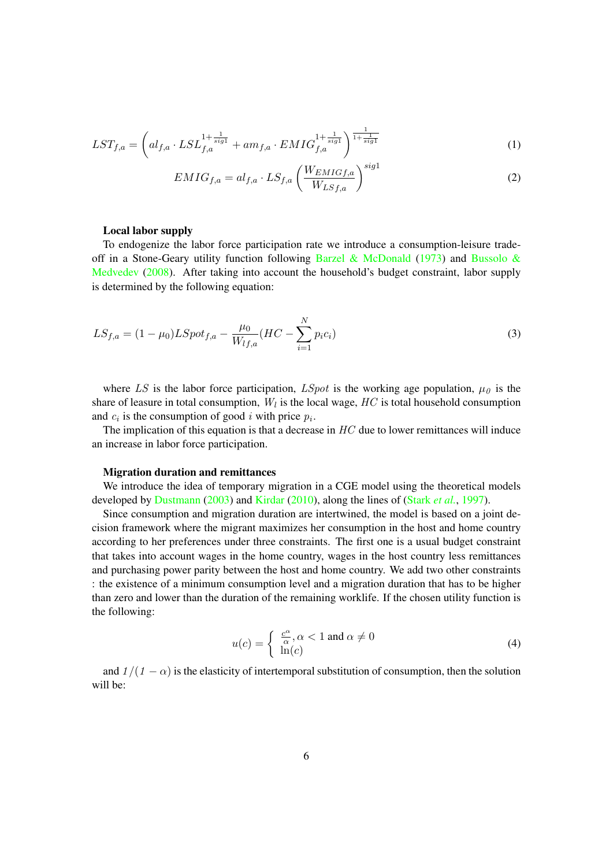$$
LST_{f,a} = \left( al_{f,a} \cdot LSL_{f,a}^{1 + \frac{1}{sig1}} + am_{f,a} \cdot EMIG_{f,a}^{1 + \frac{1}{sig1}} \right)^{\frac{1}{1 + \frac{1}{sig1}}} \tag{1}
$$

$$
EMIG_{f,a} = al_{f,a} \cdot LS_{f,a} \left(\frac{W_{EMIGf,a}}{W_{LSf,a}}\right)^{sig1}
$$
 (2)

#### Local labor supply

To endogenize the labor force participation rate we introduce a consumption-leisure trade-off in a Stone-Geary utility function following [Barzel & McDonald](#page-21-12) [\(1973\)](#page-21-12) and [Bussolo &](#page-21-9) [Medvedev](#page-21-9) [\(2008\)](#page-21-9). After taking into account the household's budget constraint, labor supply is determined by the following equation:

$$
LS_{f,a} = (1 - \mu_0) LSpot_{f,a} - \frac{\mu_0}{W_{lf,a}} (HC - \sum_{i=1}^{N} p_i c_i)
$$
\n(3)

where LS is the labor force participation, LSpot is the working age population,  $\mu_0$  is the share of leasure in total consumption,  $W_l$  is the local wage,  $HC$  is total household consumption and  $c_i$  is the consumption of good i with price  $p_i$ .

The implication of this equation is that a decrease in  $HC$  due to lower remittances will induce an increase in labor force participation.

#### Migration duration and remittances

We introduce the idea of temporary migration in a CGE model using the theoretical models developed by [Dustmann](#page-22-10) [\(2003\)](#page-22-10) and [Kirdar](#page-23-13) [\(2010\)](#page-23-13), along the lines of [\(Stark](#page-24-8) *et al.*, [1997\)](#page-24-8).

Since consumption and migration duration are intertwined, the model is based on a joint decision framework where the migrant maximizes her consumption in the host and home country according to her preferences under three constraints. The first one is a usual budget constraint that takes into account wages in the home country, wages in the host country less remittances and purchasing power parity between the host and home country. We add two other constraints : the existence of a minimum consumption level and a migration duration that has to be higher than zero and lower than the duration of the remaining worklife. If the chosen utility function is the following:

$$
u(c) = \begin{cases} \frac{c^{\alpha}}{\alpha}, \alpha < 1 \text{ and } \alpha \neq 0\\ \ln(c) \end{cases}
$$
 (4)

and  $1/(1 - \alpha)$  is the elasticity of intertemporal substitution of consumption, then the solution will be: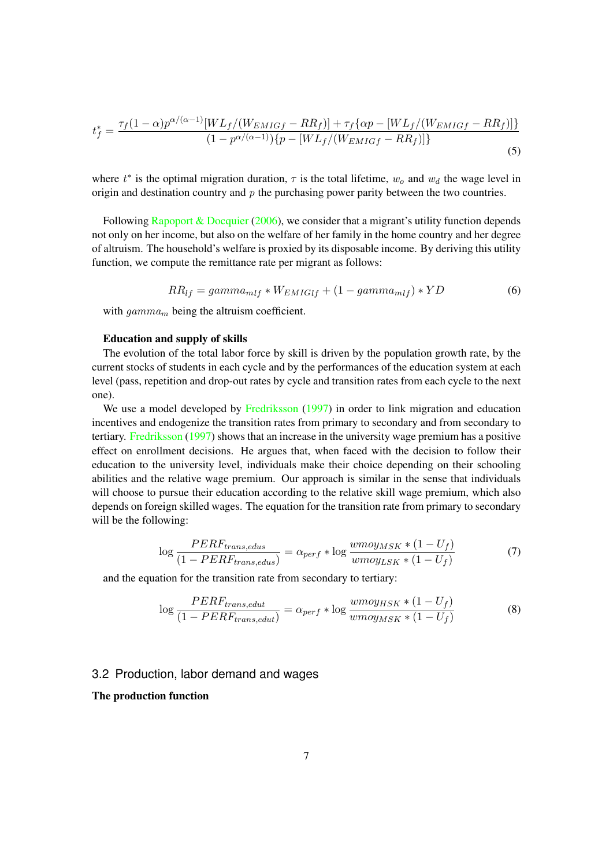$$
t_f^* = \frac{\tau_f (1 - \alpha) p^{\alpha/(\alpha - 1)} [WL_f/(W_{EMIGf} - RR_f)] + \tau_f {\alpha p - [WL_f/(W_{EMIGf} - RR_f)] } }{(1 - p^{\alpha/(\alpha - 1)}) \{p - [WL_f/(W_{EMIGf} - RR_f)]\}}
$$
(5)

where  $t^*$  is the optimal migration duration,  $\tau$  is the total lifetime,  $w_o$  and  $w_d$  the wage level in origin and destination country and  $p$  the purchasing power parity between the two countries.

Following [Rapoport & Docquier](#page-24-4) [\(2006\)](#page-24-4), we consider that a migrant's utility function depends not only on her income, but also on the welfare of her family in the home country and her degree of altruism. The household's welfare is proxied by its disposable income. By deriving this utility function, we compute the remittance rate per migrant as follows:

$$
RR_{lf} = gamma_{mlf} * W_{EMIGlf} + (1 - gamma_{mlf}) * YD \tag{6}
$$

with  $gamma_m$  being the altruism coefficient.

#### Education and supply of skills

The evolution of the total labor force by skill is driven by the population growth rate, by the current stocks of students in each cycle and by the performances of the education system at each level (pass, repetition and drop-out rates by cycle and transition rates from each cycle to the next one).

We use a model developed by [Fredriksson](#page-22-11) [\(1997\)](#page-22-11) in order to link migration and education incentives and endogenize the transition rates from primary to secondary and from secondary to tertiary. [Fredriksson](#page-22-11) [\(1997\)](#page-22-11) shows that an increase in the university wage premium has a positive effect on enrollment decisions. He argues that, when faced with the decision to follow their education to the university level, individuals make their choice depending on their schooling abilities and the relative wage premium. Our approach is similar in the sense that individuals will choose to pursue their education according to the relative skill wage premium, which also depends on foreign skilled wages. The equation for the transition rate from primary to secondary will be the following:

$$
\log \frac{PERF_{trans,edus}}{(1 - PERF_{trans,edus})} = \alpha_{perf} * \log \frac{wmoy_{MSK} * (1 - U_f)}{wmoy_{LSK} * (1 - U_f)}
$$
(7)

and the equation for the transition rate from secondary to tertiary:

$$
\log \frac{PERF_{trans,edut}}{(1 - PERF_{trans,edut})} = \alpha_{perf} * \log \frac{wmoy_{HSK} * (1 - U_f)}{wmoy_{MSK} * (1 - U_f)}
$$
(8)

#### 3.2 Production, labor demand and wages

#### The production function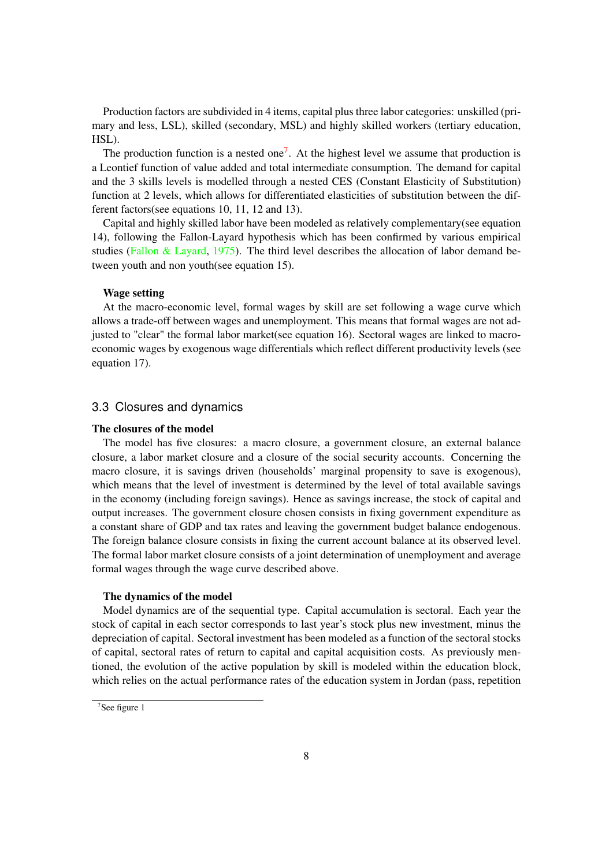Production factors are subdivided in 4 items, capital plus three labor categories: unskilled (primary and less, LSL), skilled (secondary, MSL) and highly skilled workers (tertiary education, HSL).

The production function is a nested one<sup>[7](#page-7-0)</sup>. At the highest level we assume that production is a Leontief function of value added and total intermediate consumption. The demand for capital and the 3 skills levels is modelled through a nested CES (Constant Elasticity of Substitution) function at 2 levels, which allows for differentiated elasticities of substitution between the different factors(see equations 10, 11, 12 and 13).

Capital and highly skilled labor have been modeled as relatively complementary(see equation 14), following the Fallon-Layard hypothesis which has been confirmed by various empirical studies [\(Fallon & Layard,](#page-22-12) [1975\)](#page-22-12). The third level describes the allocation of labor demand between youth and non youth(see equation 15).

#### Wage setting

At the macro-economic level, formal wages by skill are set following a wage curve which allows a trade-off between wages and unemployment. This means that formal wages are not adjusted to "clear" the formal labor market(see equation 16). Sectoral wages are linked to macroeconomic wages by exogenous wage differentials which reflect different productivity levels (see equation 17).

#### 3.3 Closures and dynamics

#### The closures of the model

The model has five closures: a macro closure, a government closure, an external balance closure, a labor market closure and a closure of the social security accounts. Concerning the macro closure, it is savings driven (households' marginal propensity to save is exogenous), which means that the level of investment is determined by the level of total available savings in the economy (including foreign savings). Hence as savings increase, the stock of capital and output increases. The government closure chosen consists in fixing government expenditure as a constant share of GDP and tax rates and leaving the government budget balance endogenous. The foreign balance closure consists in fixing the current account balance at its observed level. The formal labor market closure consists of a joint determination of unemployment and average formal wages through the wage curve described above.

#### The dynamics of the model

Model dynamics are of the sequential type. Capital accumulation is sectoral. Each year the stock of capital in each sector corresponds to last year's stock plus new investment, minus the depreciation of capital. Sectoral investment has been modeled as a function of the sectoral stocks of capital, sectoral rates of return to capital and capital acquisition costs. As previously mentioned, the evolution of the active population by skill is modeled within the education block, which relies on the actual performance rates of the education system in Jordan (pass, repetition

<span id="page-7-0"></span><sup>&</sup>lt;sup>7</sup>See figure 1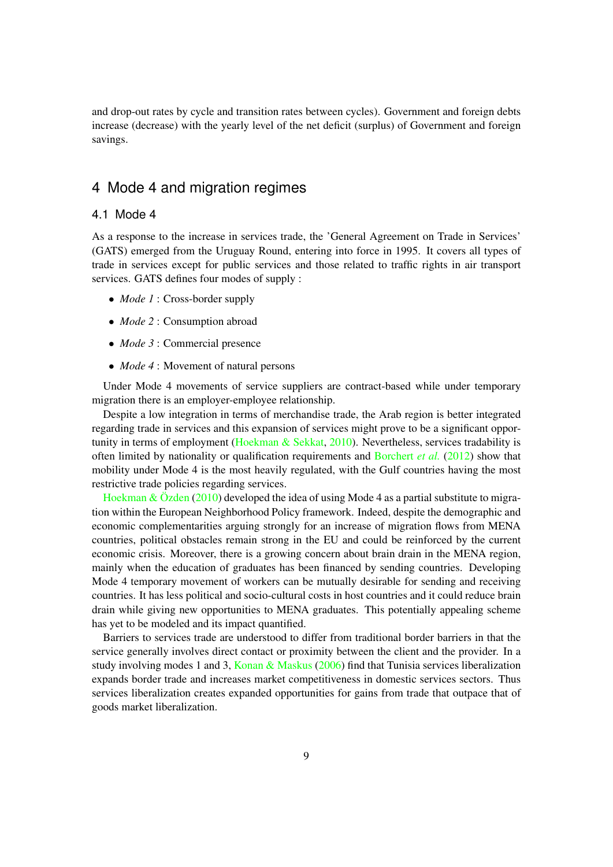and drop-out rates by cycle and transition rates between cycles). Government and foreign debts increase (decrease) with the yearly level of the net deficit (surplus) of Government and foreign savings.

### 4 Mode 4 and migration regimes

#### 4.1 Mode 4

As a response to the increase in services trade, the 'General Agreement on Trade in Services' (GATS) emerged from the Uruguay Round, entering into force in 1995. It covers all types of trade in services except for public services and those related to traffic rights in air transport services. GATS defines four modes of supply :

- *Mode 1* : Cross-border supply
- *Mode 2* : Consumption abroad
- *Mode 3* : Commercial presence
- *Mode 4* : Movement of natural persons

Under Mode 4 movements of service suppliers are contract-based while under temporary migration there is an employer-employee relationship.

Despite a low integration in terms of merchandise trade, the Arab region is better integrated regarding trade in services and this expansion of services might prove to be a significant oppor-tunity in terms of employment [\(Hoekman & Sekkat,](#page-23-11) [2010\)](#page-23-11). Nevertheless, services tradability is often limited by nationality or qualification requirements and [Borchert](#page-21-13) *et al.* [\(2012\)](#page-21-13) show that mobility under Mode 4 is the most heavily regulated, with the Gulf countries having the most restrictive trade policies regarding services.

[Hoekman & Özden](#page-23-10) [\(2010\)](#page-23-10) developed the idea of using Mode 4 as a partial substitute to migration within the European Neighborhood Policy framework. Indeed, despite the demographic and economic complementarities arguing strongly for an increase of migration flows from MENA countries, political obstacles remain strong in the EU and could be reinforced by the current economic crisis. Moreover, there is a growing concern about brain drain in the MENA region, mainly when the education of graduates has been financed by sending countries. Developing Mode 4 temporary movement of workers can be mutually desirable for sending and receiving countries. It has less political and socio-cultural costs in host countries and it could reduce brain drain while giving new opportunities to MENA graduates. This potentially appealing scheme has yet to be modeled and its impact quantified.

Barriers to services trade are understood to differ from traditional border barriers in that the service generally involves direct contact or proximity between the client and the provider. In a study involving modes 1 and 3, [Konan & Maskus](#page-23-14) [\(2006\)](#page-23-14) find that Tunisia services liberalization expands border trade and increases market competitiveness in domestic services sectors. Thus services liberalization creates expanded opportunities for gains from trade that outpace that of goods market liberalization.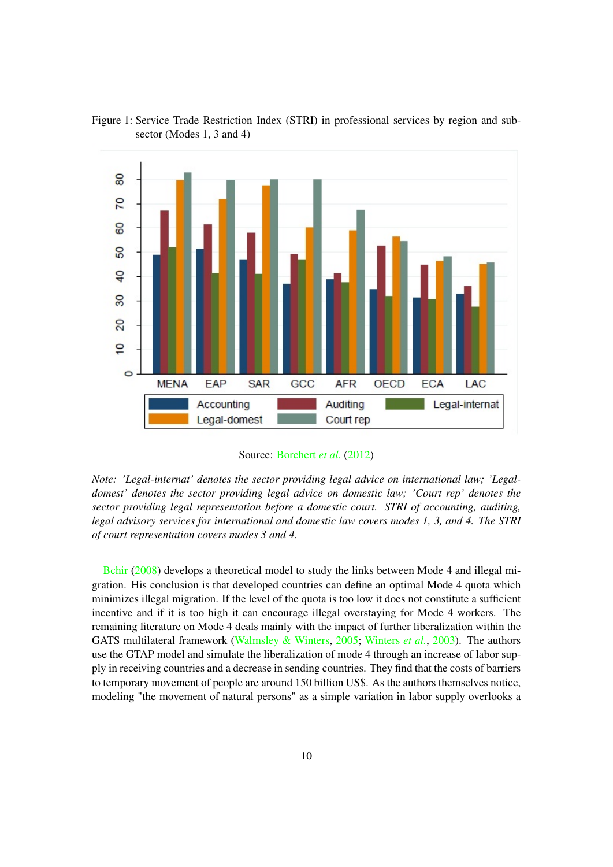

Figure 1: Service Trade Restriction Index (STRI) in professional services by region and subsector (Modes 1, 3 and 4)

Source: [Borchert](#page-21-13) *et al.* [\(2012\)](#page-21-13)

*Note: 'Legal-internat' denotes the sector providing legal advice on international law; 'Legaldomest' denotes the sector providing legal advice on domestic law; 'Court rep' denotes the sector providing legal representation before a domestic court. STRI of accounting, auditing, legal advisory services for international and domestic law covers modes 1, 3, and 4. The STRI of court representation covers modes 3 and 4.*

[Bchir](#page-21-11) [\(2008\)](#page-21-11) develops a theoretical model to study the links between Mode 4 and illegal migration. His conclusion is that developed countries can define an optimal Mode 4 quota which minimizes illegal migration. If the level of the quota is too low it does not constitute a sufficient incentive and if it is too high it can encourage illegal overstaying for Mode 4 workers. The remaining literature on Mode 4 deals mainly with the impact of further liberalization within the GATS multilateral framework [\(Walmsley & Winters,](#page-24-6) [2005;](#page-24-6) [Winters](#page-24-10) *et al.*, [2003\)](#page-24-10). The authors use the GTAP model and simulate the liberalization of mode 4 through an increase of labor supply in receiving countries and a decrease in sending countries. They find that the costs of barriers to temporary movement of people are around 150 billion US\$. As the authors themselves notice, modeling "the movement of natural persons" as a simple variation in labor supply overlooks a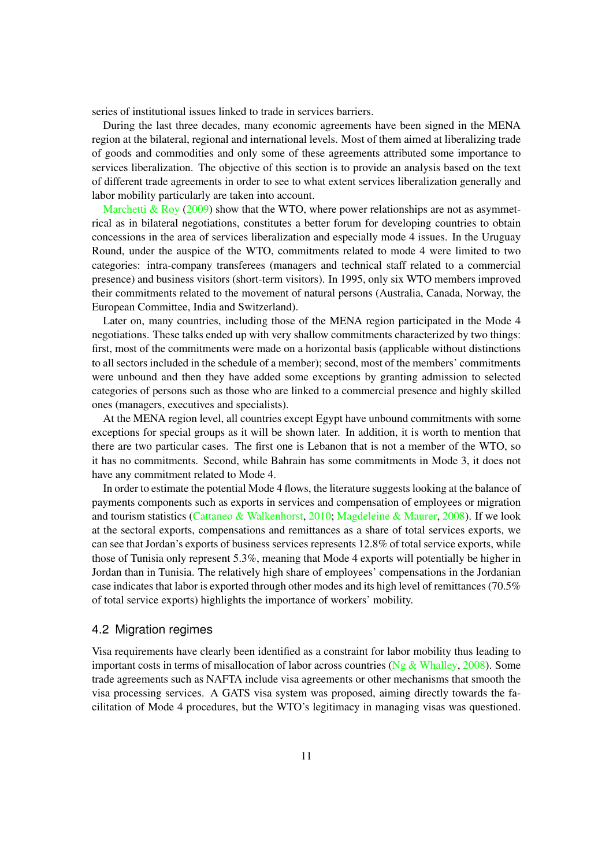series of institutional issues linked to trade in services barriers.

During the last three decades, many economic agreements have been signed in the MENA region at the bilateral, regional and international levels. Most of them aimed at liberalizing trade of goods and commodities and only some of these agreements attributed some importance to services liberalization. The objective of this section is to provide an analysis based on the text of different trade agreements in order to see to what extent services liberalization generally and labor mobility particularly are taken into account.

[Marchetti & Roy](#page-23-15) [\(2009\)](#page-23-15) show that the WTO, where power relationships are not as asymmetrical as in bilateral negotiations, constitutes a better forum for developing countries to obtain concessions in the area of services liberalization and especially mode 4 issues. In the Uruguay Round, under the auspice of the WTO, commitments related to mode 4 were limited to two categories: intra-company transferees (managers and technical staff related to a commercial presence) and business visitors (short-term visitors). In 1995, only six WTO members improved their commitments related to the movement of natural persons (Australia, Canada, Norway, the European Committee, India and Switzerland).

Later on, many countries, including those of the MENA region participated in the Mode 4 negotiations. These talks ended up with very shallow commitments characterized by two things: first, most of the commitments were made on a horizontal basis (applicable without distinctions to all sectors included in the schedule of a member); second, most of the members' commitments were unbound and then they have added some exceptions by granting admission to selected categories of persons such as those who are linked to a commercial presence and highly skilled ones (managers, executives and specialists).

At the MENA region level, all countries except Egypt have unbound commitments with some exceptions for special groups as it will be shown later. In addition, it is worth to mention that there are two particular cases. The first one is Lebanon that is not a member of the WTO, so it has no commitments. Second, while Bahrain has some commitments in Mode 3, it does not have any commitment related to Mode 4.

In order to estimate the potential Mode 4 flows, the literature suggests looking at the balance of payments components such as exports in services and compensation of employees or migration and tourism statistics [\(Cattaneo & Walkenhorst,](#page-22-13) [2010;](#page-22-13) [Magdeleine & Maurer,](#page-23-16) [2008\)](#page-23-16). If we look at the sectoral exports, compensations and remittances as a share of total services exports, we can see that Jordan's exports of business services represents 12.8% of total service exports, while those of Tunisia only represent 5.3%, meaning that Mode 4 exports will potentially be higher in Jordan than in Tunisia. The relatively high share of employees' compensations in the Jordanian case indicates that labor is exported through other modes and its high level of remittances (70.5% of total service exports) highlights the importance of workers' mobility.

#### 4.2 Migration regimes

Visa requirements have clearly been identified as a constraint for labor mobility thus leading to important costs in terms of misallocation of labor across countries (Ng  $\&$  Whalley, [2008\)](#page-24-11). Some trade agreements such as NAFTA include visa agreements or other mechanisms that smooth the visa processing services. A GATS visa system was proposed, aiming directly towards the facilitation of Mode 4 procedures, but the WTO's legitimacy in managing visas was questioned.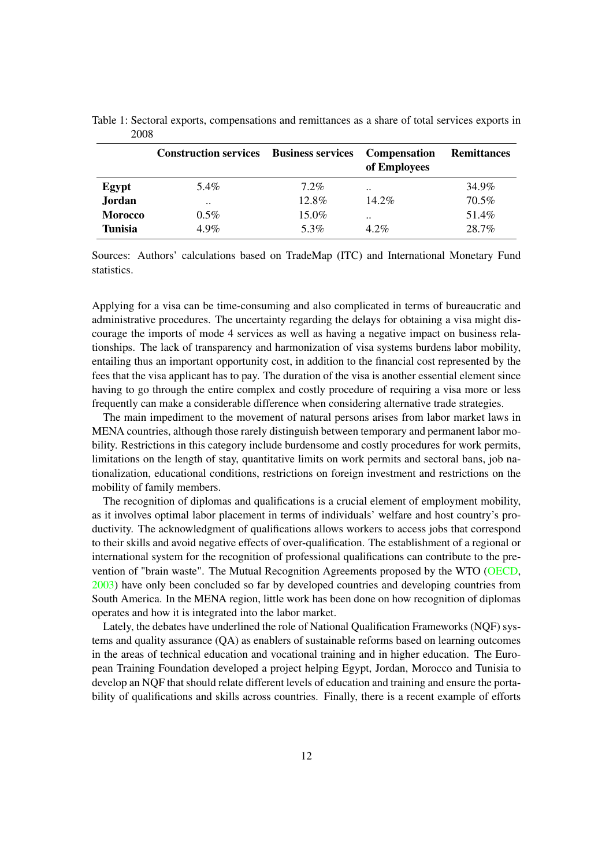|                | <b>Construction services</b> | <b>Business services</b> | <b>Compensation</b><br>of Employees | <b>Remittances</b> |
|----------------|------------------------------|--------------------------|-------------------------------------|--------------------|
| Egypt          | 5.4%                         | $7.2\%$                  | $\ddot{\phantom{a}}$                | 34.9%              |
| Jordan         | $\ddot{\phantom{0}}$         | 12.8%                    | $14.2\%$                            | 70.5%              |
| <b>Morocco</b> | $0.5\%$                      | 15.0%                    | $\cdot$                             | 51.4%              |
| <b>Tunisia</b> | $4.9\%$                      | 5.3%                     | $4.2\%$                             | 28.7%              |

Table 1: Sectoral exports, compensations and remittances as a share of total services exports in 2008

Sources: Authors' calculations based on TradeMap (ITC) and International Monetary Fund statistics.

Applying for a visa can be time-consuming and also complicated in terms of bureaucratic and administrative procedures. The uncertainty regarding the delays for obtaining a visa might discourage the imports of mode 4 services as well as having a negative impact on business relationships. The lack of transparency and harmonization of visa systems burdens labor mobility, entailing thus an important opportunity cost, in addition to the financial cost represented by the fees that the visa applicant has to pay. The duration of the visa is another essential element since having to go through the entire complex and costly procedure of requiring a visa more or less frequently can make a considerable difference when considering alternative trade strategies.

The main impediment to the movement of natural persons arises from labor market laws in MENA countries, although those rarely distinguish between temporary and permanent labor mobility. Restrictions in this category include burdensome and costly procedures for work permits, limitations on the length of stay, quantitative limits on work permits and sectoral bans, job nationalization, educational conditions, restrictions on foreign investment and restrictions on the mobility of family members.

The recognition of diplomas and qualifications is a crucial element of employment mobility, as it involves optimal labor placement in terms of individuals' welfare and host country's productivity. The acknowledgment of qualifications allows workers to access jobs that correspond to their skills and avoid negative effects of over-qualification. The establishment of a regional or international system for the recognition of professional qualifications can contribute to the prevention of "brain waste". The Mutual Recognition Agreements proposed by the WTO [\(OECD,](#page-24-12) [2003\)](#page-24-12) have only been concluded so far by developed countries and developing countries from South America. In the MENA region, little work has been done on how recognition of diplomas operates and how it is integrated into the labor market.

Lately, the debates have underlined the role of National Qualification Frameworks (NQF) systems and quality assurance (QA) as enablers of sustainable reforms based on learning outcomes in the areas of technical education and vocational training and in higher education. The European Training Foundation developed a project helping Egypt, Jordan, Morocco and Tunisia to develop an NQF that should relate different levels of education and training and ensure the portability of qualifications and skills across countries. Finally, there is a recent example of efforts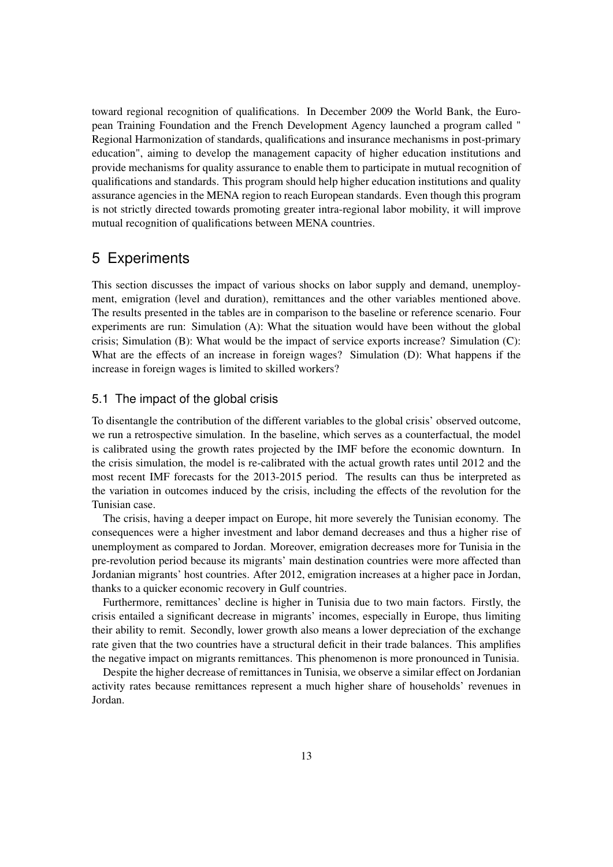toward regional recognition of qualifications. In December 2009 the World Bank, the European Training Foundation and the French Development Agency launched a program called " Regional Harmonization of standards, qualifications and insurance mechanisms in post-primary education", aiming to develop the management capacity of higher education institutions and provide mechanisms for quality assurance to enable them to participate in mutual recognition of qualifications and standards. This program should help higher education institutions and quality assurance agencies in the MENA region to reach European standards. Even though this program is not strictly directed towards promoting greater intra-regional labor mobility, it will improve mutual recognition of qualifications between MENA countries.

### 5 Experiments

This section discusses the impact of various shocks on labor supply and demand, unemployment, emigration (level and duration), remittances and the other variables mentioned above. The results presented in the tables are in comparison to the baseline or reference scenario. Four experiments are run: Simulation (A): What the situation would have been without the global crisis; Simulation (B): What would be the impact of service exports increase? Simulation (C): What are the effects of an increase in foreign wages? Simulation (D): What happens if the increase in foreign wages is limited to skilled workers?

#### 5.1 The impact of the global crisis

To disentangle the contribution of the different variables to the global crisis' observed outcome, we run a retrospective simulation. In the baseline, which serves as a counterfactual, the model is calibrated using the growth rates projected by the IMF before the economic downturn. In the crisis simulation, the model is re-calibrated with the actual growth rates until 2012 and the most recent IMF forecasts for the 2013-2015 period. The results can thus be interpreted as the variation in outcomes induced by the crisis, including the effects of the revolution for the Tunisian case.

The crisis, having a deeper impact on Europe, hit more severely the Tunisian economy. The consequences were a higher investment and labor demand decreases and thus a higher rise of unemployment as compared to Jordan. Moreover, emigration decreases more for Tunisia in the pre-revolution period because its migrants' main destination countries were more affected than Jordanian migrants' host countries. After 2012, emigration increases at a higher pace in Jordan, thanks to a quicker economic recovery in Gulf countries.

Furthermore, remittances' decline is higher in Tunisia due to two main factors. Firstly, the crisis entailed a significant decrease in migrants' incomes, especially in Europe, thus limiting their ability to remit. Secondly, lower growth also means a lower depreciation of the exchange rate given that the two countries have a structural deficit in their trade balances. This amplifies the negative impact on migrants remittances. This phenomenon is more pronounced in Tunisia.

Despite the higher decrease of remittances in Tunisia, we observe a similar effect on Jordanian activity rates because remittances represent a much higher share of households' revenues in Jordan.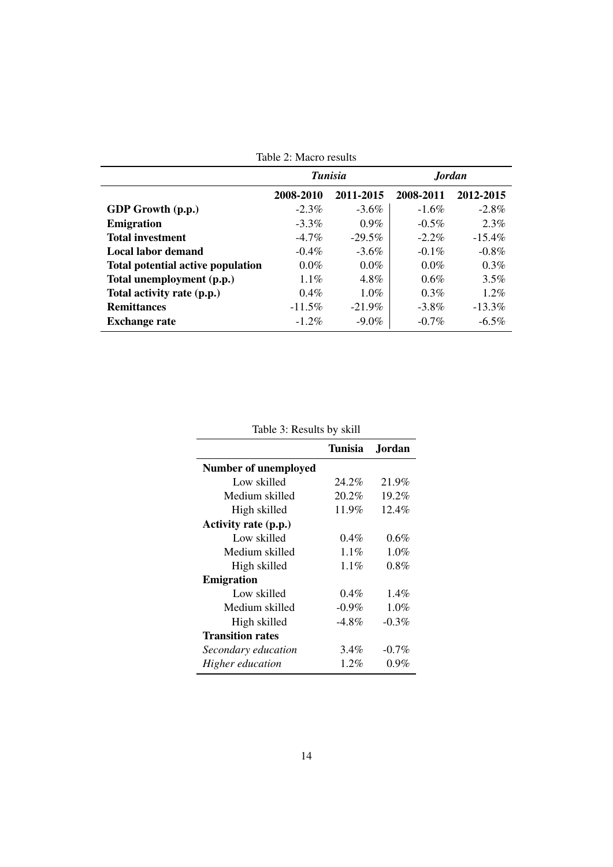|                                          | Table 2. Intacto Testato |           |               |           |
|------------------------------------------|--------------------------|-----------|---------------|-----------|
|                                          | <b>Tunisia</b>           |           | <b>Jordan</b> |           |
|                                          | 2008-2010                | 2011-2015 | 2008-2011     | 2012-2015 |
| GDP Growth (p.p.)                        | $-2.3\%$                 | $-3.6\%$  | $-1.6\%$      | $-2.8\%$  |
| <b>Emigration</b>                        | $-3.3\%$                 | $0.9\%$   | $-0.5\%$      | $2.3\%$   |
| <b>Total investment</b>                  | $-4.7\%$                 | $-29.5\%$ | $-2.2\%$      | $-15.4\%$ |
| Local labor demand                       | $-0.4\%$                 | $-3.6\%$  | $-0.1\%$      | $-0.8\%$  |
| <b>Total potential active population</b> | $0.0\%$                  | $0.0\%$   | $0.0\%$       | $0.3\%$   |
| Total unemployment (p.p.)                | $1.1\%$                  | $4.8\%$   | 0.6%          | 3.5%      |
| Total activity rate (p.p.)               | $0.4\%$                  | $1.0\%$   | $0.3\%$       | $1.2\%$   |
| <b>Remittances</b>                       | $-11.5\%$                | $-21.9\%$ | $-3.8\%$      | $-13.3\%$ |
| <b>Exchange rate</b>                     | $-1.2\%$                 | $-9.0\%$  | $-0.7\%$      | $-6.5\%$  |

Table 2: Macro results

| Table 3: Results by skill |  |  |
|---------------------------|--|--|
|---------------------------|--|--|

|                             | Tunisia  | Jordan.  |
|-----------------------------|----------|----------|
| <b>Number of unemployed</b> |          |          |
| Low skilled                 | 24.2%    | 21.9%    |
| Medium skilled              | 20.2%    | 19.2%    |
| High skilled                | 11.9%    | $12.4\%$ |
| Activity rate (p.p.)        |          |          |
| Low skilled                 | $0.4\%$  | $0.6\%$  |
| Medium skilled              | $1.1\%$  | $1.0\%$  |
| High skilled                | $1.1\%$  | $0.8\%$  |
| <b>Emigration</b>           |          |          |
| Low skilled                 | $0.4\%$  | $1.4\%$  |
| Medium skilled              | $-0.9\%$ | $1.0\%$  |
| High skilled                | $-4.8\%$ | $-0.3\%$ |
| <b>Transition rates</b>     |          |          |
| Secondary education         | 3.4%     | $-0.7\%$ |
| Higher education            | $1.2\%$  | $0.9\%$  |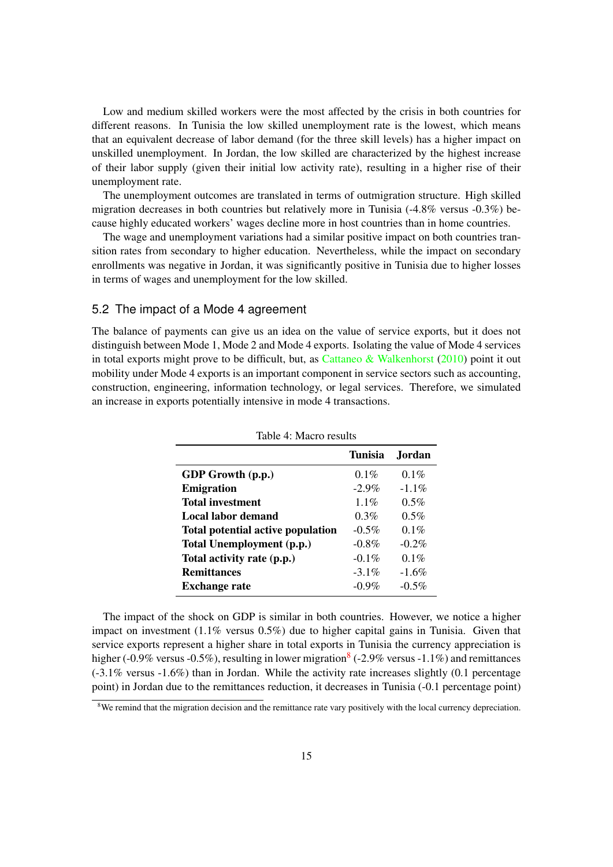Low and medium skilled workers were the most affected by the crisis in both countries for different reasons. In Tunisia the low skilled unemployment rate is the lowest, which means that an equivalent decrease of labor demand (for the three skill levels) has a higher impact on unskilled unemployment. In Jordan, the low skilled are characterized by the highest increase of their labor supply (given their initial low activity rate), resulting in a higher rise of their unemployment rate.

The unemployment outcomes are translated in terms of outmigration structure. High skilled migration decreases in both countries but relatively more in Tunisia (-4.8% versus -0.3%) because highly educated workers' wages decline more in host countries than in home countries.

The wage and unemployment variations had a similar positive impact on both countries transition rates from secondary to higher education. Nevertheless, while the impact on secondary enrollments was negative in Jordan, it was significantly positive in Tunisia due to higher losses in terms of wages and unemployment for the low skilled.

#### 5.2 The impact of a Mode 4 agreement

The balance of payments can give us an idea on the value of service exports, but it does not distinguish between Mode 1, Mode 2 and Mode 4 exports. Isolating the value of Mode 4 services in total exports might prove to be difficult, but, as [Cattaneo & Walkenhorst](#page-22-13)  $(2010)$  point it out mobility under Mode 4 exports is an important component in service sectors such as accounting, construction, engineering, information technology, or legal services. Therefore, we simulated an increase in exports potentially intensive in mode 4 transactions.

|                                          | Tunisia  | <b>Jordan</b> |
|------------------------------------------|----------|---------------|
| GDP Growth (p.p.)                        | $0.1\%$  | $0.1\%$       |
| <b>Emigration</b>                        | $-2.9\%$ | $-1.1\%$      |
| <b>Total investment</b>                  | 1 1 %    | 0.5%          |
| Local labor demand                       | 0.3%     | $0.5\%$       |
| <b>Total potential active population</b> | $-0.5\%$ | $0.1\%$       |
| Total Unemployment (p.p.)                | $-0.8\%$ | $-0.2\%$      |
| Total activity rate (p.p.)               | $-0.1\%$ | $0.1\%$       |
| <b>Remittances</b>                       | $-3.1\%$ | $-1.6%$       |
| <b>Exchange rate</b>                     | $-0.9\%$ | $-0.5\%$      |

Table 4: Macro results

The impact of the shock on GDP is similar in both countries. However, we notice a higher impact on investment (1.1% versus 0.5%) due to higher capital gains in Tunisia. Given that service exports represent a higher share in total exports in Tunisia the currency appreciation is higher (-0.9% versus -0.5%), resulting in lower migration  $($ -2.9% versus -1.1%) and remittances (-3.1% versus -1.6%) than in Jordan. While the activity rate increases slightly (0.1 percentage point) in Jordan due to the remittances reduction, it decreases in Tunisia (-0.1 percentage point)

<span id="page-14-0"></span><sup>&</sup>lt;sup>8</sup>We remind that the migration decision and the remittance rate vary positively with the local currency depreciation.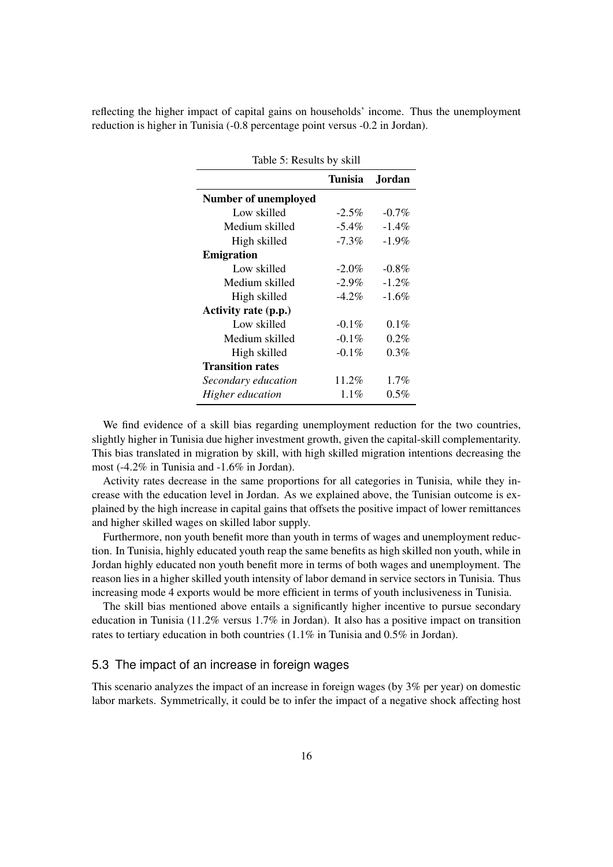reflecting the higher impact of capital gains on households' income. Thus the unemployment reduction is higher in Tunisia (-0.8 percentage point versus -0.2 in Jordan).

| Table 5: Results by skill   |                |               |  |  |  |
|-----------------------------|----------------|---------------|--|--|--|
|                             | <b>Tunisia</b> | <b>Jordan</b> |  |  |  |
| <b>Number of unemployed</b> |                |               |  |  |  |
| Low skilled                 | $-2.5\%$       | $-0.7\%$      |  |  |  |
| Medium skilled              | $-5.4\%$       | $-1.4\%$      |  |  |  |
| High skilled                | $-7.3%$        | $-1.9\%$      |  |  |  |
| <b>Emigration</b>           |                |               |  |  |  |
| Low skilled                 | $-2.0\%$       | $-0.8\%$      |  |  |  |
| Medium skilled              | $-2.9\%$       | $-1.2\%$      |  |  |  |
| High skilled                | $-4.2\%$       | $-1.6\%$      |  |  |  |
| Activity rate (p.p.)        |                |               |  |  |  |
| Low skilled                 | $-0.1\%$       | $0.1\%$       |  |  |  |
| Medium skilled              | $-0.1\%$       | $0.2\%$       |  |  |  |
| High skilled                | $-0.1\%$       | $0.3\%$       |  |  |  |
| <b>Transition rates</b>     |                |               |  |  |  |
| Secondary education         | 11.2%          | 1.7%          |  |  |  |
| Higher education            | $1.1\%$        | $0.5\%$       |  |  |  |
|                             |                |               |  |  |  |

 $T = 11.5 \text{ m} = 1.1 \text{ m} = 1.21$ 

We find evidence of a skill bias regarding unemployment reduction for the two countries, slightly higher in Tunisia due higher investment growth, given the capital-skill complementarity. This bias translated in migration by skill, with high skilled migration intentions decreasing the most (-4.2% in Tunisia and -1.6% in Jordan).

Activity rates decrease in the same proportions for all categories in Tunisia, while they increase with the education level in Jordan. As we explained above, the Tunisian outcome is explained by the high increase in capital gains that offsets the positive impact of lower remittances and higher skilled wages on skilled labor supply.

Furthermore, non youth benefit more than youth in terms of wages and unemployment reduction. In Tunisia, highly educated youth reap the same benefits as high skilled non youth, while in Jordan highly educated non youth benefit more in terms of both wages and unemployment. The reason lies in a higher skilled youth intensity of labor demand in service sectors in Tunisia. Thus increasing mode 4 exports would be more efficient in terms of youth inclusiveness in Tunisia.

The skill bias mentioned above entails a significantly higher incentive to pursue secondary education in Tunisia (11.2% versus 1.7% in Jordan). It also has a positive impact on transition rates to tertiary education in both countries (1.1% in Tunisia and 0.5% in Jordan).

#### 5.3 The impact of an increase in foreign wages

This scenario analyzes the impact of an increase in foreign wages (by 3% per year) on domestic labor markets. Symmetrically, it could be to infer the impact of a negative shock affecting host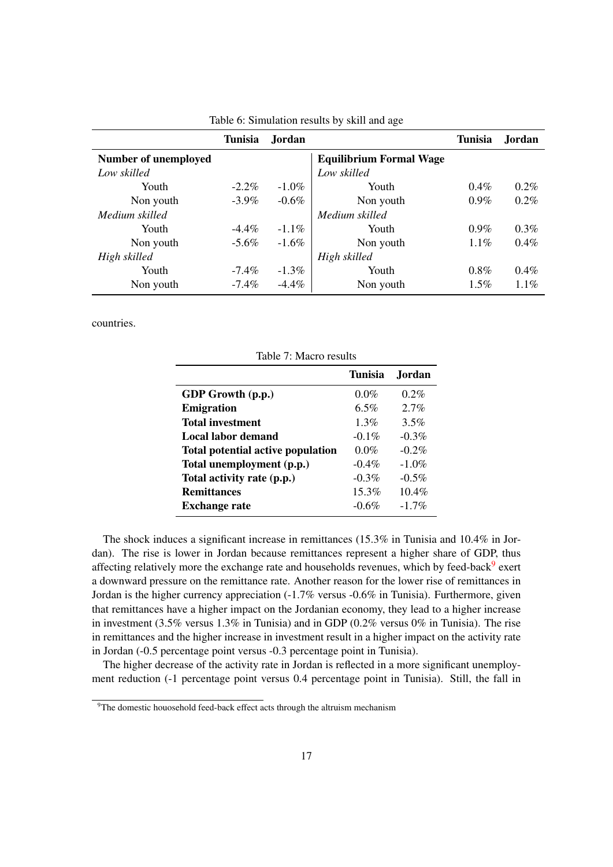|                             | <b>Tunisia</b> | <b>Jordan</b> |                                | <b>Tunisia</b> | Jordan  |
|-----------------------------|----------------|---------------|--------------------------------|----------------|---------|
| <b>Number of unemployed</b> |                |               | <b>Equilibrium Formal Wage</b> |                |         |
| Low skilled                 |                |               | Low skilled                    |                |         |
| Youth                       | $-2.2\%$       | $-1.0\%$      | Youth                          | $0.4\%$        | $0.2\%$ |
| Non youth                   | $-3.9\%$       | $-0.6\%$      | Non youth                      | $0.9\%$        | $0.2\%$ |
| Medium skilled              |                |               | Medium skilled                 |                |         |
| Youth                       | $-4.4\%$       | $-1.1\%$      | Youth                          | $0.9\%$        | $0.3\%$ |
| Non youth                   | $-5.6\%$       | $-1.6\%$      | Non youth                      | $1.1\%$        | $0.4\%$ |
| High skilled                |                |               | High skilled                   |                |         |
| Youth                       | $-7.4\%$       | $-1.3\%$      | Youth                          | $0.8\%$        | $0.4\%$ |
| Non youth                   | $-7.4\%$       | $-4.4\%$      | Non youth                      | $1.5\%$        | $1.1\%$ |

|  | Table 6: Simulation results by skill and age |  |  |  |  |  |
|--|----------------------------------------------|--|--|--|--|--|
|--|----------------------------------------------|--|--|--|--|--|

countries.

Table 7: Macro results Tunisia Jordan **GDP Growth (p.p.)**  $0.0\%$  0.2% Emigration 6.5% 2.7% Total investment 1.3% 3.5% Local labor demand  $-0.1\%$  -0.3% Total potential active population  $0.0\%$  -0.2% Total unemployment  $(p.p.)$   $-0.4\%$   $-1.0\%$ Total activity rate  $(p.p.)$   $-0.3\%$   $-0.5\%$ **Remittances** 15.3% 10.4% Exchange rate  $-0.6\%$   $-1.7\%$ 

The shock induces a significant increase in remittances (15.3% in Tunisia and 10.4% in Jordan). The rise is lower in Jordan because remittances represent a higher share of GDP, thus affecting relatively more the exchange rate and households revenues, which by feed-back<sup>[9](#page-16-0)</sup> exert a downward pressure on the remittance rate. Another reason for the lower rise of remittances in Jordan is the higher currency appreciation (-1.7% versus -0.6% in Tunisia). Furthermore, given that remittances have a higher impact on the Jordanian economy, they lead to a higher increase in investment (3.5% versus 1.3% in Tunisia) and in GDP (0.2% versus 0% in Tunisia). The rise in remittances and the higher increase in investment result in a higher impact on the activity rate in Jordan (-0.5 percentage point versus -0.3 percentage point in Tunisia).

The higher decrease of the activity rate in Jordan is reflected in a more significant unemployment reduction (-1 percentage point versus 0.4 percentage point in Tunisia). Still, the fall in

<span id="page-16-0"></span><sup>&</sup>lt;sup>9</sup>The domestic houosehold feed-back effect acts through the altruism mechanism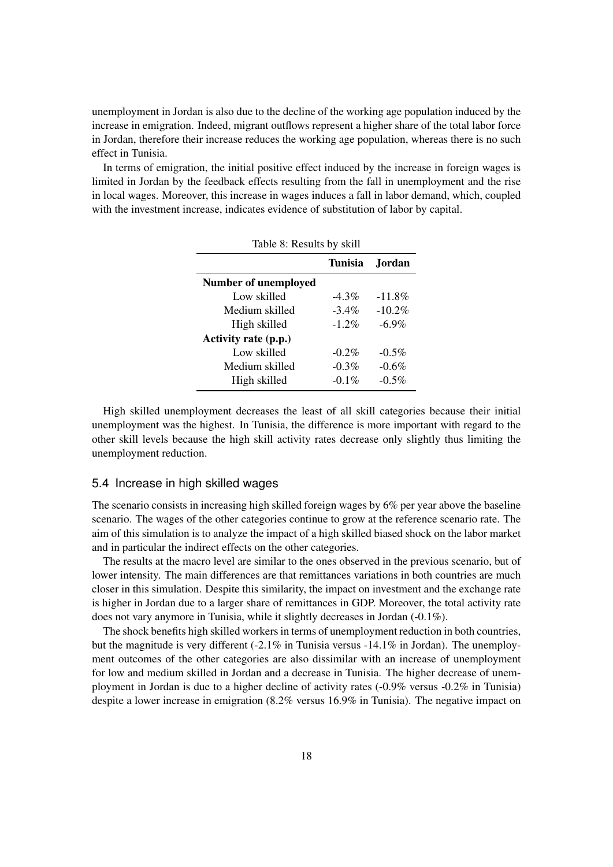unemployment in Jordan is also due to the decline of the working age population induced by the increase in emigration. Indeed, migrant outflows represent a higher share of the total labor force in Jordan, therefore their increase reduces the working age population, whereas there is no such effect in Tunisia.

In terms of emigration, the initial positive effect induced by the increase in foreign wages is limited in Jordan by the feedback effects resulting from the fall in unemployment and the rise in local wages. Moreover, this increase in wages induces a fall in labor demand, which, coupled with the investment increase, indicates evidence of substitution of labor by capital.

| Table 8: Results by skill |          |           |  |  |  |  |
|---------------------------|----------|-----------|--|--|--|--|
| Tunisia<br><b>Jordan</b>  |          |           |  |  |  |  |
| Number of unemployed      |          |           |  |  |  |  |
| Low skilled               | $-4.3\%$ | $-11.8\%$ |  |  |  |  |
| Medium skilled            | $-3.4\%$ | $-10.2%$  |  |  |  |  |
| High skilled              | $-1.2\%$ | $-6.9\%$  |  |  |  |  |
| Activity rate (p.p.)      |          |           |  |  |  |  |
| Low skilled               | $-0.2\%$ | $-0.5\%$  |  |  |  |  |
| Medium skilled            | $-0.3%$  | $-0.6\%$  |  |  |  |  |
| High skilled              | $-0.1\%$ | $-0.5\%$  |  |  |  |  |

High skilled unemployment decreases the least of all skill categories because their initial unemployment was the highest. In Tunisia, the difference is more important with regard to the other skill levels because the high skill activity rates decrease only slightly thus limiting the unemployment reduction.

#### 5.4 Increase in high skilled wages

The scenario consists in increasing high skilled foreign wages by 6% per year above the baseline scenario. The wages of the other categories continue to grow at the reference scenario rate. The aim of this simulation is to analyze the impact of a high skilled biased shock on the labor market and in particular the indirect effects on the other categories.

The results at the macro level are similar to the ones observed in the previous scenario, but of lower intensity. The main differences are that remittances variations in both countries are much closer in this simulation. Despite this similarity, the impact on investment and the exchange rate is higher in Jordan due to a larger share of remittances in GDP. Moreover, the total activity rate does not vary anymore in Tunisia, while it slightly decreases in Jordan (-0.1%).

The shock benefits high skilled workers in terms of unemployment reduction in both countries, but the magnitude is very different  $(-2.1\%$  in Tunisia versus  $-14.1\%$  in Jordan). The unemployment outcomes of the other categories are also dissimilar with an increase of unemployment for low and medium skilled in Jordan and a decrease in Tunisia. The higher decrease of unemployment in Jordan is due to a higher decline of activity rates (-0.9% versus -0.2% in Tunisia) despite a lower increase in emigration (8.2% versus 16.9% in Tunisia). The negative impact on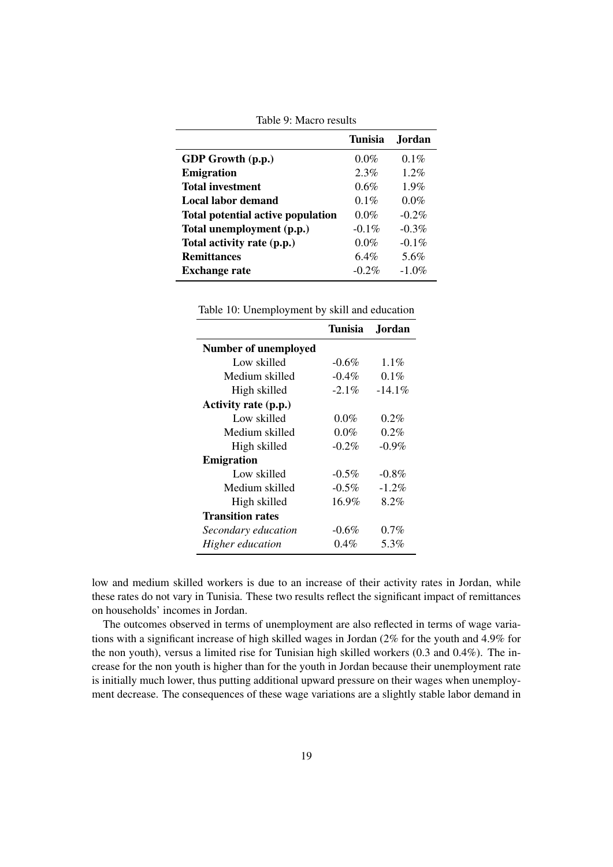|                                          | <b>Tunisia</b> | Jordan   |
|------------------------------------------|----------------|----------|
| <b>GDP</b> Growth (p.p.)                 | $0.0\%$        | $0.1\%$  |
| <b>Emigration</b>                        | 2.3%           | 1 2%     |
| <b>Total investment</b>                  | 0.6%           | $1.9\%$  |
| Local labor demand                       | $0.1\%$        | $0.0\%$  |
| <b>Total potential active population</b> | $0.0\%$        | $-0.2\%$ |
| Total unemployment (p.p.)                | $-0.1\%$       | $-0.3\%$ |
| Total activity rate (p.p.)               | $0.0\%$        | $-0.1\%$ |
| <b>Remittances</b>                       | 6.4%           | 5.6%     |
| <b>Exchange rate</b>                     | $-0.2\%$       | $-1.0\%$ |

Table 9: Macro results

Table 10: Unemployment by skill and education

|                         | Tunisia  | Jordan.   |
|-------------------------|----------|-----------|
| Number of unemployed    |          |           |
| Low skilled             | $-0.6\%$ | $1.1\%$   |
| Medium skilled          | $-0.4\%$ | $0.1\%$   |
| High skilled            | $-2.1\%$ | $-14.1\%$ |
| Activity rate (p.p.)    |          |           |
| Low skilled             | $0.0\%$  | $0.2\%$   |
| Medium skilled          | $0.0\%$  | $0.2\%$   |
| High skilled            | $-0.2\%$ | $-0.9\%$  |
| <b>Emigration</b>       |          |           |
| Low skilled             | $-0.5\%$ | $-0.8\%$  |
| Medium skilled          | $-0.5\%$ | $-1.2\%$  |
| High skilled            | $16.9\%$ | 8.2%      |
| <b>Transition rates</b> |          |           |
| Secondary education     | $-0.6\%$ | $0.7\%$   |
| Higher education        | $0.4\%$  | 5.3%      |

low and medium skilled workers is due to an increase of their activity rates in Jordan, while these rates do not vary in Tunisia. These two results reflect the significant impact of remittances on households' incomes in Jordan.

The outcomes observed in terms of unemployment are also reflected in terms of wage variations with a significant increase of high skilled wages in Jordan (2% for the youth and 4.9% for the non youth), versus a limited rise for Tunisian high skilled workers (0.3 and 0.4%). The increase for the non youth is higher than for the youth in Jordan because their unemployment rate is initially much lower, thus putting additional upward pressure on their wages when unemployment decrease. The consequences of these wage variations are a slightly stable labor demand in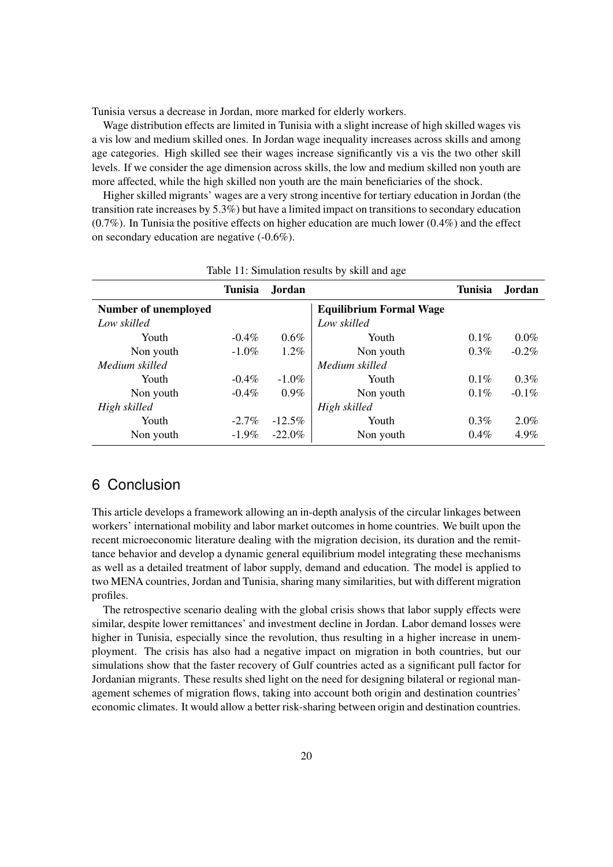Tunisia versus a decrease in Jordan, more marked for elderly workers.

Wage distribution effects are limited in Tunisia with a slight increase of high skilled wages vis a vis low and medium skilled ones. In Jordan wage inequality increases across skills and among age categories. High skilled see their wages increase significantly vis a vis the two other skill levels. If we consider the age dimension across skills, the low and medium skilled non youth are more affected, while the high skilled non youth are the main beneficiaries of the shock.

Higher skilled migrants' wages are a very strong incentive for tertiary education in Jordan (the transition rate increases by 5.3%) but have a limited impact on transitions to secondary education (0.7%). In Tunisia the positive effects on higher education are much lower (0.4%) and the effect on secondary education are negative (-0.6%).

|                             | Tunisia  | <b>Jordan</b> |                                | <b>Tunisia</b> | Jordan   |
|-----------------------------|----------|---------------|--------------------------------|----------------|----------|
| <b>Number of unemployed</b> |          |               | <b>Equilibrium Formal Wage</b> |                |          |
| Low skilled                 |          |               | Low skilled                    |                |          |
| Youth                       | $-0.4\%$ | $0.6\%$       | Youth                          | $0.1\%$        | $0.0\%$  |
| Non youth                   | $-1.0\%$ | $1.2\%$       | Non youth                      | 0.3%           | $-0.2\%$ |
| Medium skilled              |          |               | Medium skilled                 |                |          |
| Youth                       | $-0.4\%$ | $-1.0\%$      | Youth                          | $0.1\%$        | $0.3\%$  |
| Non youth                   | $-0.4\%$ | $0.9\%$       | Non youth                      | $0.1\%$        | $-0.1\%$ |
| High skilled                |          |               | High skilled                   |                |          |
| Youth                       | $-2.7\%$ | $-12.5%$      | Youth                          | $0.3\%$        | $2.0\%$  |
| Non youth                   | $-1.9\%$ | $-22.0\%$     | Non youth                      | $0.4\%$        | 4.9%     |

|  |  | Table 11: Simulation results by skill and age |  |  |
|--|--|-----------------------------------------------|--|--|
|  |  |                                               |  |  |

### 6 Conclusion

This article develops a framework allowing an in-depth analysis of the circular linkages between workers' international mobility and labor market outcomes in home countries. We built upon the recent microeconomic literature dealing with the migration decision, its duration and the remittance behavior and develop a dynamic general equilibrium model integrating these mechanisms as well as a detailed treatment of labor supply, demand and education. The model is applied to two MENA countries, Jordan and Tunisia, sharing many similarities, but with different migration profiles.

The retrospective scenario dealing with the global crisis shows that labor supply effects were similar, despite lower remittances' and investment decline in Jordan. Labor demand losses were higher in Tunisia, especially since the revolution, thus resulting in a higher increase in unemployment. The crisis has also had a negative impact on migration in both countries, but our simulations show that the faster recovery of Gulf countries acted as a significant pull factor for Jordanian migrants. These results shed light on the need for designing bilateral or regional management schemes of migration flows, taking into account both origin and destination countries' economic climates. It would allow a better risk-sharing between origin and destination countries.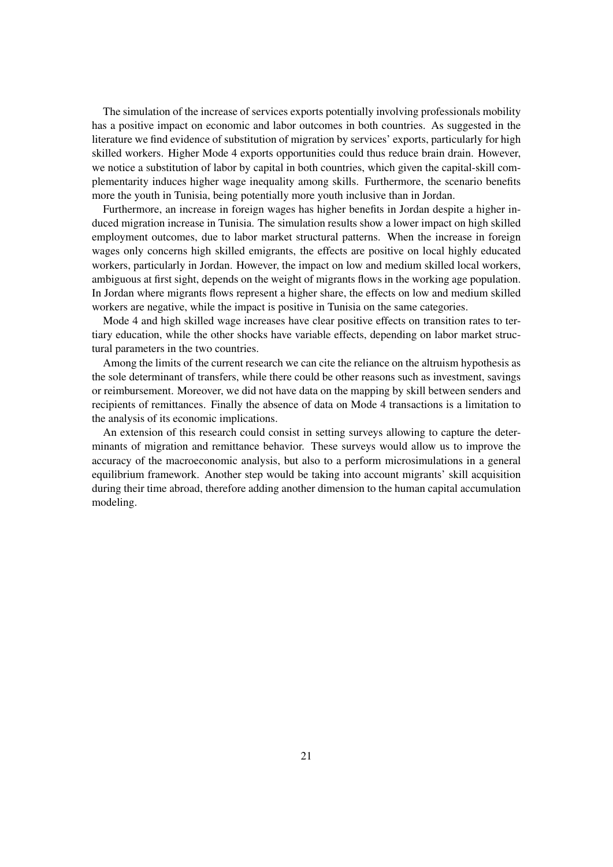The simulation of the increase of services exports potentially involving professionals mobility has a positive impact on economic and labor outcomes in both countries. As suggested in the literature we find evidence of substitution of migration by services' exports, particularly for high skilled workers. Higher Mode 4 exports opportunities could thus reduce brain drain. However, we notice a substitution of labor by capital in both countries, which given the capital-skill complementarity induces higher wage inequality among skills. Furthermore, the scenario benefits more the youth in Tunisia, being potentially more youth inclusive than in Jordan.

Furthermore, an increase in foreign wages has higher benefits in Jordan despite a higher induced migration increase in Tunisia. The simulation results show a lower impact on high skilled employment outcomes, due to labor market structural patterns. When the increase in foreign wages only concerns high skilled emigrants, the effects are positive on local highly educated workers, particularly in Jordan. However, the impact on low and medium skilled local workers, ambiguous at first sight, depends on the weight of migrants flows in the working age population. In Jordan where migrants flows represent a higher share, the effects on low and medium skilled workers are negative, while the impact is positive in Tunisia on the same categories.

Mode 4 and high skilled wage increases have clear positive effects on transition rates to tertiary education, while the other shocks have variable effects, depending on labor market structural parameters in the two countries.

Among the limits of the current research we can cite the reliance on the altruism hypothesis as the sole determinant of transfers, while there could be other reasons such as investment, savings or reimbursement. Moreover, we did not have data on the mapping by skill between senders and recipients of remittances. Finally the absence of data on Mode 4 transactions is a limitation to the analysis of its economic implications.

An extension of this research could consist in setting surveys allowing to capture the determinants of migration and remittance behavior. These surveys would allow us to improve the accuracy of the macroeconomic analysis, but also to a perform microsimulations in a general equilibrium framework. Another step would be taking into account migrants' skill acquisition during their time abroad, therefore adding another dimension to the human capital accumulation modeling.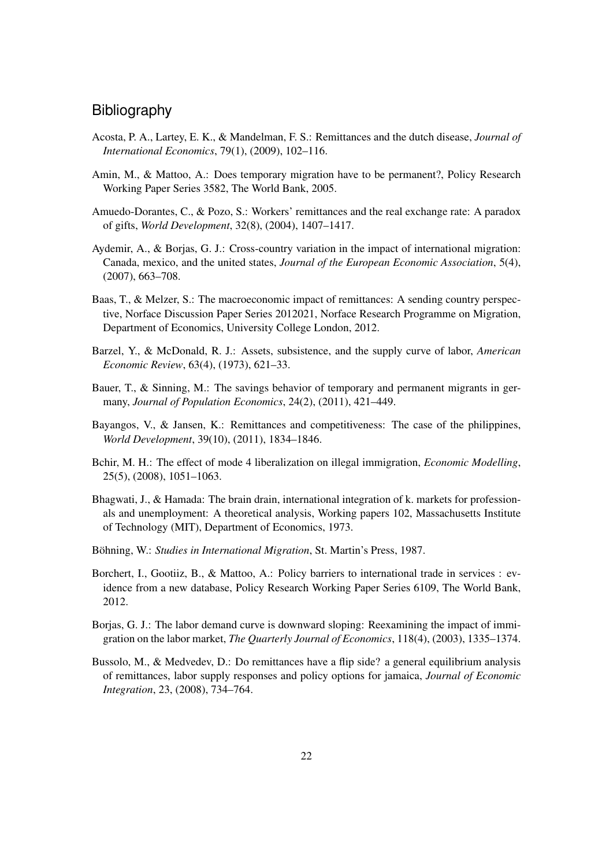### **Bibliography**

- <span id="page-21-4"></span>Acosta, P. A., Lartey, E. K., & Mandelman, F. S.: Remittances and the dutch disease, *Journal of International Economics*, 79(1), (2009), 102–116.
- <span id="page-21-10"></span>Amin, M., & Mattoo, A.: Does temporary migration have to be permanent?, Policy Research Working Paper Series 3582, The World Bank, 2005.
- <span id="page-21-3"></span>Amuedo-Dorantes, C., & Pozo, S.: Workers' remittances and the real exchange rate: A paradox of gifts, *World Development*, 32(8), (2004), 1407–1417.
- <span id="page-21-1"></span>Aydemir, A., & Borjas, G. J.: Cross-country variation in the impact of international migration: Canada, mexico, and the united states, *Journal of the European Economic Association*, 5(4), (2007), 663–708.
- <span id="page-21-8"></span>Baas, T., & Melzer, S.: The macroeconomic impact of remittances: A sending country perspective, Norface Discussion Paper Series 2012021, Norface Research Programme on Migration, Department of Economics, University College London, 2012.
- <span id="page-21-12"></span>Barzel, Y., & McDonald, R. J.: Assets, subsistence, and the supply curve of labor, *American Economic Review*, 63(4), (1973), 621–33.
- <span id="page-21-5"></span>Bauer, T., & Sinning, M.: The savings behavior of temporary and permanent migrants in germany, *Journal of Population Economics*, 24(2), (2011), 421–449.
- <span id="page-21-2"></span>Bayangos, V., & Jansen, K.: Remittances and competitiveness: The case of the philippines, *World Development*, 39(10), (2011), 1834–1846.
- <span id="page-21-11"></span>Bchir, M. H.: The effect of mode 4 liberalization on illegal immigration, *Economic Modelling*, 25(5), (2008), 1051–1063.
- <span id="page-21-7"></span>Bhagwati, J., & Hamada: The brain drain, international integration of k. markets for professionals and unemployment: A theoretical analysis, Working papers 102, Massachusetts Institute of Technology (MIT), Department of Economics, 1973.
- <span id="page-21-6"></span>Böhning, W.: *Studies in International Migration*, St. Martin's Press, 1987.
- <span id="page-21-13"></span>Borchert, I., Gootiiz, B., & Mattoo, A.: Policy barriers to international trade in services : evidence from a new database, Policy Research Working Paper Series 6109, The World Bank, 2012.
- <span id="page-21-0"></span>Borjas, G. J.: The labor demand curve is downward sloping: Reexamining the impact of immigration on the labor market, *The Quarterly Journal of Economics*, 118(4), (2003), 1335–1374.
- <span id="page-21-9"></span>Bussolo, M., & Medvedev, D.: Do remittances have a flip side? a general equilibrium analysis of remittances, labor supply responses and policy options for jamaica, *Journal of Economic Integration*, 23, (2008), 734–764.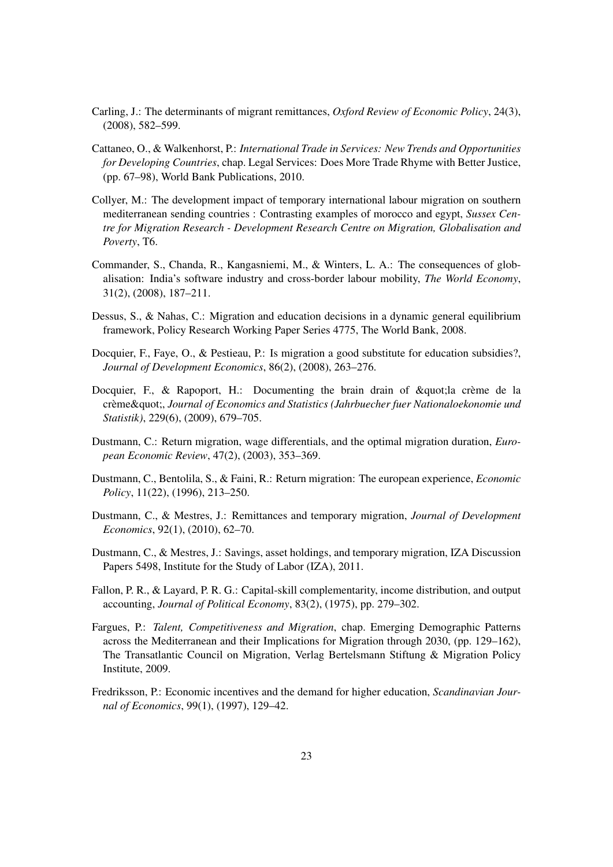- <span id="page-22-0"></span>Carling, J.: The determinants of migrant remittances, *Oxford Review of Economic Policy*, 24(3), (2008), 582–599.
- <span id="page-22-13"></span>Cattaneo, O., & Walkenhorst, P.: *International Trade in Services: New Trends and Opportunities for Developing Countries*, chap. Legal Services: Does More Trade Rhyme with Better Justice, (pp. 67–98), World Bank Publications, 2010.
- <span id="page-22-8"></span>Collyer, M.: The development impact of temporary international labour migration on southern mediterranean sending countries : Contrasting examples of morocco and egypt, *Sussex Centre for Migration Research - Development Research Centre on Migration, Globalisation and Poverty*, T6.
- <span id="page-22-5"></span>Commander, S., Chanda, R., Kangasniemi, M., & Winters, L. A.: The consequences of globalisation: India's software industry and cross-border labour mobility, *The World Economy*, 31(2), (2008), 187–211.
- <span id="page-22-4"></span>Dessus, S., & Nahas, C.: Migration and education decisions in a dynamic general equilibrium framework, Policy Research Working Paper Series 4775, The World Bank, 2008.
- <span id="page-22-7"></span>Docquier, F., Faye, O., & Pestieau, P.: Is migration a good substitute for education subsidies?, *Journal of Development Economics*, 86(2), (2008), 263–276.
- <span id="page-22-6"></span>Docquier, F., & Rapoport, H.: Documenting the brain drain of  $\&$  quot; la crème de la crème", *Journal of Economics and Statistics (Jahrbuecher fuer Nationaloekonomie und Statistik)*, 229(6), (2009), 679–705.
- <span id="page-22-10"></span>Dustmann, C.: Return migration, wage differentials, and the optimal migration duration, *European Economic Review*, 47(2), (2003), 353–369.
- <span id="page-22-3"></span>Dustmann, C., Bentolila, S., & Faini, R.: Return migration: The european experience, *Economic Policy*, 11(22), (1996), 213–250.
- <span id="page-22-1"></span>Dustmann, C., & Mestres, J.: Remittances and temporary migration, *Journal of Development Economics*, 92(1), (2010), 62–70.
- <span id="page-22-2"></span>Dustmann, C., & Mestres, J.: Savings, asset holdings, and temporary migration, IZA Discussion Papers 5498, Institute for the Study of Labor (IZA), 2011.
- <span id="page-22-12"></span>Fallon, P. R., & Layard, P. R. G.: Capital-skill complementarity, income distribution, and output accounting, *Journal of Political Economy*, 83(2), (1975), pp. 279–302.
- <span id="page-22-9"></span>Fargues, P.: *Talent, Competitiveness and Migration*, chap. Emerging Demographic Patterns across the Mediterranean and their Implications for Migration through 2030, (pp. 129–162), The Transatlantic Council on Migration, Verlag Bertelsmann Stiftung & Migration Policy Institute, 2009.
- <span id="page-22-11"></span>Fredriksson, P.: Economic incentives and the demand for higher education, *Scandinavian Journal of Economics*, 99(1), (1997), 129–42.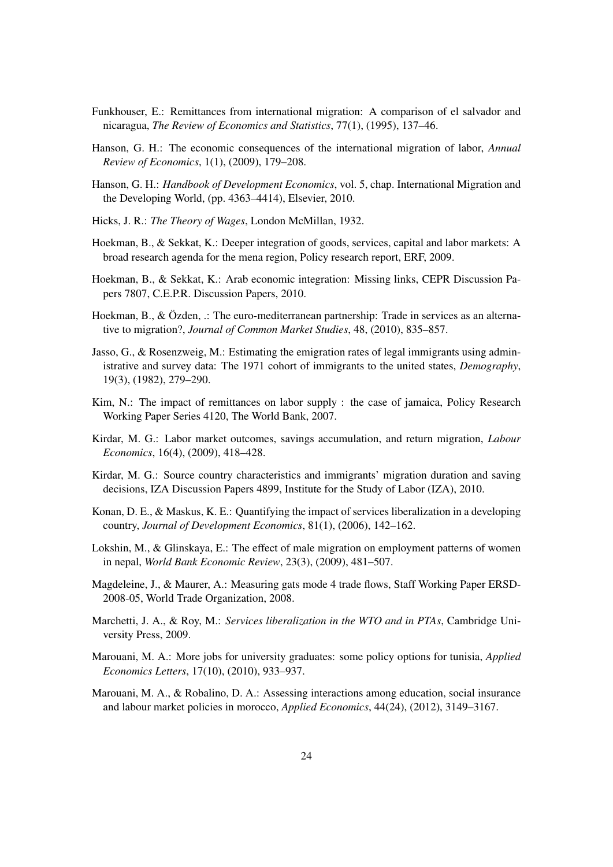- <span id="page-23-4"></span>Funkhouser, E.: Remittances from international migration: A comparison of el salvador and nicaragua, *The Review of Economics and Statistics*, 77(1), (1995), 137–46.
- <span id="page-23-2"></span>Hanson, G. H.: The economic consequences of the international migration of labor, *Annual Review of Economics*, 1(1), (2009), 179–208.
- <span id="page-23-3"></span>Hanson, G. H.: *Handbook of Development Economics*, vol. 5, chap. International Migration and the Developing World, (pp. 4363–4414), Elsevier, 2010.
- <span id="page-23-9"></span>Hicks, J. R.: *The Theory of Wages*, London McMillan, 1932.
- <span id="page-23-1"></span>Hoekman, B., & Sekkat, K.: Deeper integration of goods, services, capital and labor markets: A broad research agenda for the mena region, Policy research report, ERF, 2009.
- <span id="page-23-11"></span>Hoekman, B., & Sekkat, K.: Arab economic integration: Missing links, CEPR Discussion Papers 7807, C.E.P.R. Discussion Papers, 2010.
- <span id="page-23-10"></span>Hoekman, B., & Özden, .: The euro-mediterranean partnership: Trade in services as an alternative to migration?, *Journal of Common Market Studies*, 48, (2010), 835–857.
- <span id="page-23-8"></span>Jasso, G., & Rosenzweig, M.: Estimating the emigration rates of legal immigrants using administrative and survey data: The 1971 cohort of immigrants to the united states, *Demography*, 19(3), (1982), 279–290.
- <span id="page-23-5"></span>Kim, N.: The impact of remittances on labor supply : the case of jamaica, Policy Research Working Paper Series 4120, The World Bank, 2007.
- <span id="page-23-7"></span>Kirdar, M. G.: Labor market outcomes, savings accumulation, and return migration, *Labour Economics*, 16(4), (2009), 418–428.
- <span id="page-23-13"></span>Kirdar, M. G.: Source country characteristics and immigrants' migration duration and saving decisions, IZA Discussion Papers 4899, Institute for the Study of Labor (IZA), 2010.
- <span id="page-23-14"></span>Konan, D. E., & Maskus, K. E.: Quantifying the impact of services liberalization in a developing country, *Journal of Development Economics*, 81(1), (2006), 142–162.
- <span id="page-23-6"></span>Lokshin, M., & Glinskaya, E.: The effect of male migration on employment patterns of women in nepal, *World Bank Economic Review*, 23(3), (2009), 481–507.
- <span id="page-23-16"></span>Magdeleine, J., & Maurer, A.: Measuring gats mode 4 trade flows, Staff Working Paper ERSD-2008-05, World Trade Organization, 2008.
- <span id="page-23-15"></span>Marchetti, J. A., & Roy, M.: *Services liberalization in the WTO and in PTAs*, Cambridge University Press, 2009.
- <span id="page-23-0"></span>Marouani, M. A.: More jobs for university graduates: some policy options for tunisia, *Applied Economics Letters*, 17(10), (2010), 933–937.
- <span id="page-23-12"></span>Marouani, M. A., & Robalino, D. A.: Assessing interactions among education, social insurance and labour market policies in morocco, *Applied Economics*, 44(24), (2012), 3149–3167.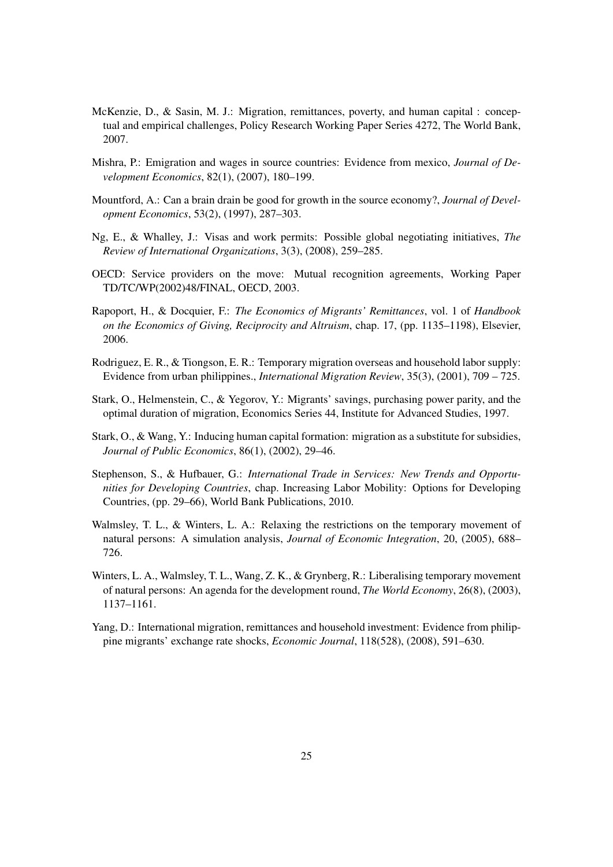- <span id="page-24-2"></span>McKenzie, D., & Sasin, M. J.: Migration, remittances, poverty, and human capital : conceptual and empirical challenges, Policy Research Working Paper Series 4272, The World Bank, 2007.
- <span id="page-24-1"></span>Mishra, P.: Emigration and wages in source countries: Evidence from mexico, *Journal of Development Economics*, 82(1), (2007), 180–199.
- <span id="page-24-7"></span>Mountford, A.: Can a brain drain be good for growth in the source economy?, *Journal of Development Economics*, 53(2), (1997), 287–303.
- <span id="page-24-11"></span>Ng, E., & Whalley, J.: Visas and work permits: Possible global negotiating initiatives, *The Review of International Organizations*, 3(3), (2008), 259–285.
- <span id="page-24-12"></span>OECD: Service providers on the move: Mutual recognition agreements, Working Paper TD/TC/WP(2002)48/FINAL, OECD, 2003.
- <span id="page-24-4"></span>Rapoport, H., & Docquier, F.: *The Economics of Migrants' Remittances*, vol. 1 of *Handbook on the Economics of Giving, Reciprocity and Altruism*, chap. 17, (pp. 1135–1198), Elsevier, 2006.
- <span id="page-24-3"></span>Rodriguez, E. R., & Tiongson, E. R.: Temporary migration overseas and household labor supply: Evidence from urban philippines., *International Migration Review*, 35(3), (2001), 709 – 725.
- <span id="page-24-8"></span>Stark, O., Helmenstein, C., & Yegorov, Y.: Migrants' savings, purchasing power parity, and the optimal duration of migration, Economics Series 44, Institute for Advanced Studies, 1997.
- <span id="page-24-9"></span>Stark, O., & Wang, Y.: Inducing human capital formation: migration as a substitute for subsidies, *Journal of Public Economics*, 86(1), (2002), 29–46.
- <span id="page-24-0"></span>Stephenson, S., & Hufbauer, G.: *International Trade in Services: New Trends and Opportunities for Developing Countries*, chap. Increasing Labor Mobility: Options for Developing Countries, (pp. 29–66), World Bank Publications, 2010.
- <span id="page-24-6"></span>Walmsley, T. L., & Winters, L. A.: Relaxing the restrictions on the temporary movement of natural persons: A simulation analysis, *Journal of Economic Integration*, 20, (2005), 688– 726.
- <span id="page-24-10"></span>Winters, L. A., Walmsley, T. L., Wang, Z. K., & Grynberg, R.: Liberalising temporary movement of natural persons: An agenda for the development round, *The World Economy*, 26(8), (2003), 1137–1161.
- <span id="page-24-5"></span>Yang, D.: International migration, remittances and household investment: Evidence from philippine migrants' exchange rate shocks, *Economic Journal*, 118(528), (2008), 591–630.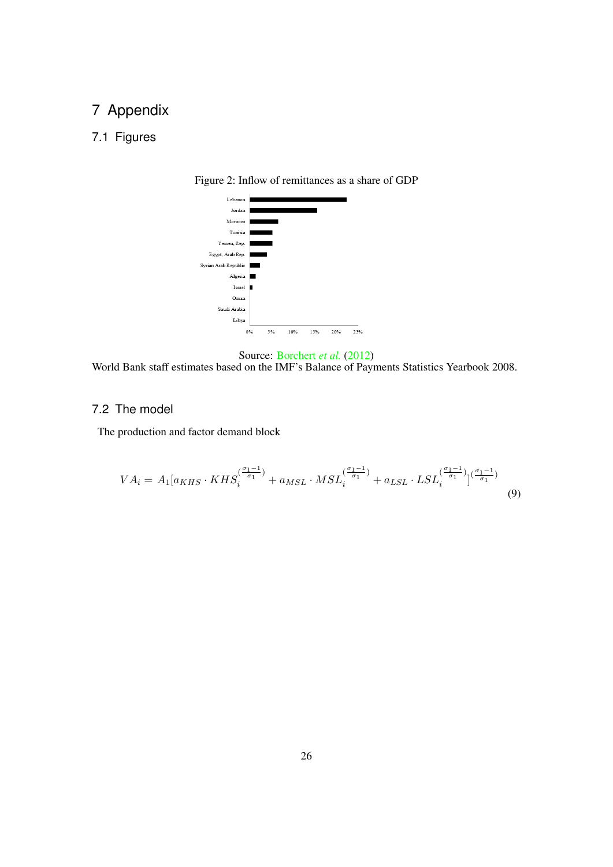## 7 Appendix

### <span id="page-25-0"></span>7.1 Figures



Figure 2: Inflow of remittances as a share of GDP



World Bank staff estimates based on the IMF's Balance of Payments Statistics Yearbook 2008.

### 7.2 The model

The production and factor demand block

$$
VA_{i} = A_{1}[a_{KHS} \cdot KHS_{i}^{(\frac{\sigma_{1}-1}{\sigma_{1}})} + a_{MSL} \cdot MSL_{i}^{(\frac{\sigma_{1}-1}{\sigma_{1}})} + a_{LSL} \cdot LSL_{i}^{(\frac{\sigma_{1}-1}{\sigma_{1}})}(\frac{\sigma_{1}-1}{\sigma_{1}})
$$
\n(9)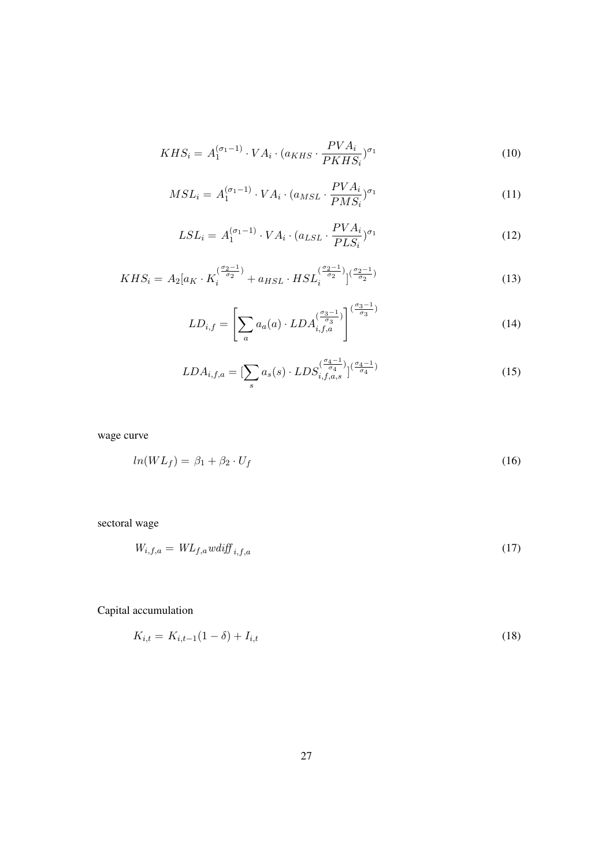$$
KHS_i = A_1^{(\sigma_1 - 1)} \cdot VA_i \cdot (a_{KHS} \cdot \frac{PVA_i}{PKHS_i})^{\sigma_1}
$$
\n
$$
(10)
$$

$$
MSL_i = A_1^{(\sigma_1 - 1)} \cdot VA_i \cdot (a_{MSL} \cdot \frac{PVA_i}{PMS_i})^{\sigma_1}
$$
\n
$$
(11)
$$

$$
LSL_i = A_1^{(\sigma_1 - 1)} \cdot VA_i \cdot (a_{LSL} \cdot \frac{PVA_i}{PLS_i})^{\sigma_1}
$$
\n
$$
(12)
$$

$$
KHS_i = A_2[a_K \cdot K_i^{(\frac{\sigma_2 - 1}{\sigma_2})} + a_{HSL} \cdot HSL_i^{(\frac{\sigma_2 - 1}{\sigma_2})} \Big|^{(\frac{\sigma_2 - 1}{\sigma_2})} \tag{13}
$$

$$
LD_{i,f} = \left[\sum_{a} a_a(a) \cdot LDA_{i,f,a}^{\left(\frac{\sigma_3-1}{\sigma_3}\right)}\right]^{\left(\frac{\sigma_3-1}{\sigma_3}\right)}
$$
(14)

$$
LDA_{i,f,a} = \left[\sum_{s} a_s(s) \cdot LDS_{i,f,a,s}^{\left(\frac{\sigma_4 - 1}{\sigma_4}\right)}\right] \xrightarrow{\left(\frac{\sigma_4 - 1}{\sigma_4}\right)}\tag{15}
$$

wage curve

$$
ln(W L_f) = \beta_1 + \beta_2 \cdot U_f \tag{16}
$$

sectoral wage

$$
W_{i,f,a} = WL_{f,a} \t{wdiff}_{i,f,a} \t{17}
$$

Capital accumulation

$$
K_{i,t} = K_{i,t-1}(1-\delta) + I_{i,t} \tag{18}
$$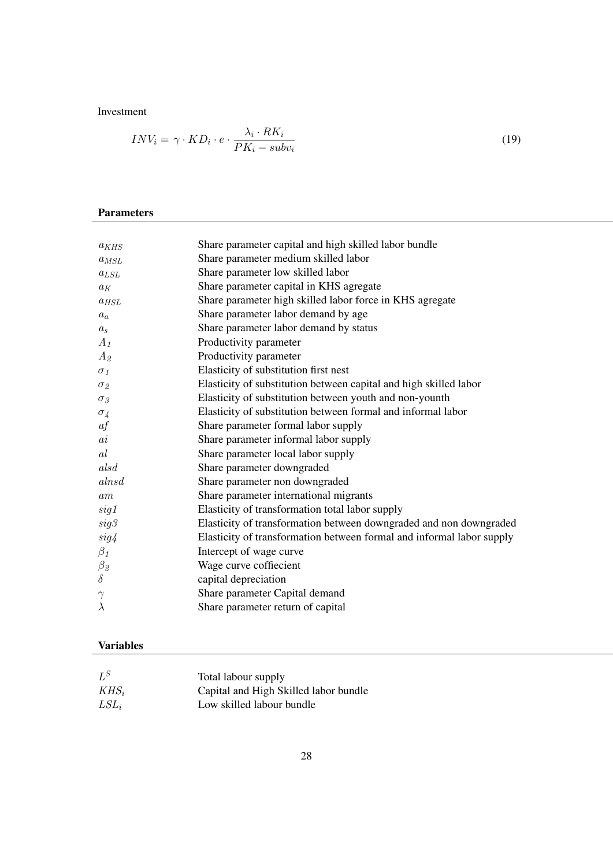#### Investment

$$
INV_i = \gamma \cdot KD_i \cdot e \cdot \frac{\lambda_i \cdot RK_i}{PK_i - subv_i}
$$
\n
$$
(19)
$$

### Parameters

| $a_{KHS}$       | Share parameter capital and high skilled labor bundle                 |
|-----------------|-----------------------------------------------------------------------|
| $a_{MSL}$       | Share parameter medium skilled labor                                  |
| $a_{LSL}$       | Share parameter low skilled labor                                     |
| $a_K$           | Share parameter capital in KHS agregate                               |
| $a_{HSL}$       | Share parameter high skilled labor force in KHS agregate              |
| $a_a$           | Share parameter labor demand by age                                   |
| $a_{s}$         | Share parameter labor demand by status                                |
| $A_1$           | Productivity parameter                                                |
| $A_2$           | Productivity parameter                                                |
| $\sigma_1$      | Elasticity of substitution first nest                                 |
| $\sigma_{2}$    | Elasticity of substitution between capital and high skilled labor     |
| $\sigma_3$      | Elasticity of substitution between youth and non-younth               |
| $\sigma_4$      | Elasticity of substitution between formal and informal labor          |
| af              | Share parameter formal labor supply                                   |
| $\overline{ai}$ | Share parameter informal labor supply                                 |
| al              | Share parameter local labor supply                                    |
| alsd            | Share parameter downgraded                                            |
| alnsd           | Share parameter non downgraded                                        |
| am              | Share parameter international migrants                                |
| sig1            | Elasticity of transformation total labor supply                       |
| sig3            | Elasticity of transformation between downgraded and non downgraded    |
| sig4            | Elasticity of transformation between formal and informal labor supply |
| $\beta_1$       | Intercept of wage curve                                               |
| $\beta_{\it 2}$ | Wage curve coffiecient                                                |
| $\delta$        | capital depreciation                                                  |
| $\gamma$        | Share parameter Capital demand                                        |
| $\lambda$       | Share parameter return of capital                                     |
|                 |                                                                       |

#### Variables

| $L^S$   | Total labour supply                   |
|---------|---------------------------------------|
| $KHS_i$ | Capital and High Skilled labor bundle |
| $LSL_i$ | Low skilled labour bundle             |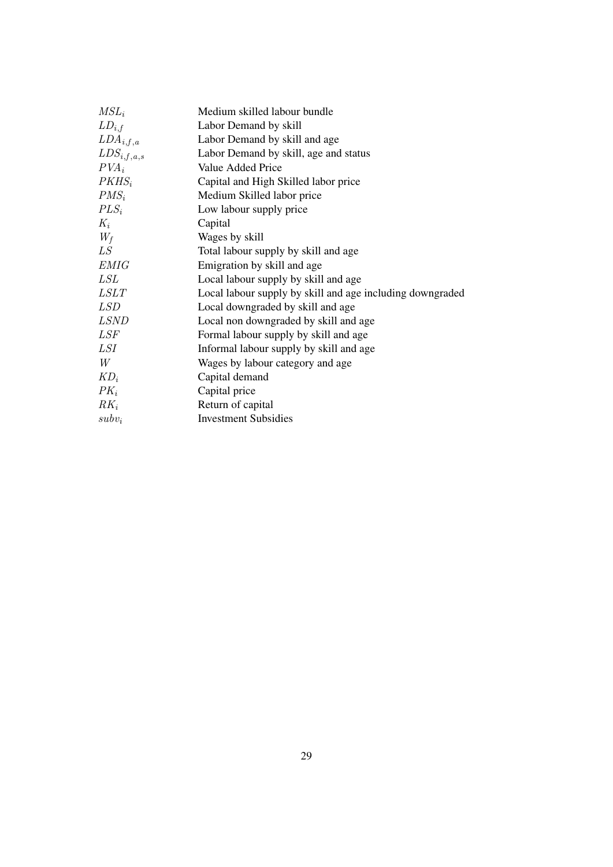| $MSL_i$         | Medium skilled labour bundle                              |
|-----------------|-----------------------------------------------------------|
| $LD_{i,f}$      | Labor Demand by skill                                     |
| $LDA_{i,f,a}$   | Labor Demand by skill and age                             |
| $LDS_{i,f,a,s}$ | Labor Demand by skill, age and status                     |
| $PVA_i$         | Value Added Price                                         |
| $PKHS_i$        | Capital and High Skilled labor price                      |
| $PMS_i$         | Medium Skilled labor price                                |
| $PLS_i$         | Low labour supply price                                   |
| $K_i$           | Capital                                                   |
| $W_f$           | Wages by skill                                            |
| LS              | Total labour supply by skill and age                      |
| <b>EMIG</b>     | Emigration by skill and age                               |
| LSL             | Local labour supply by skill and age                      |
| <i>LSLT</i>     | Local labour supply by skill and age including downgraded |
| <i>LSD</i>      | Local downgraded by skill and age                         |
| <i>LSND</i>     | Local non downgraded by skill and age                     |
| LSF             | Formal labour supply by skill and age                     |
| <i>LSI</i>      | Informal labour supply by skill and age                   |
| W               | Wages by labour category and age                          |
| $KD_i$          | Capital demand                                            |
| $PK_i$          | Capital price                                             |
| $RK_i$          | Return of capital                                         |
| $subv_i$        | <b>Investment Subsidies</b>                               |